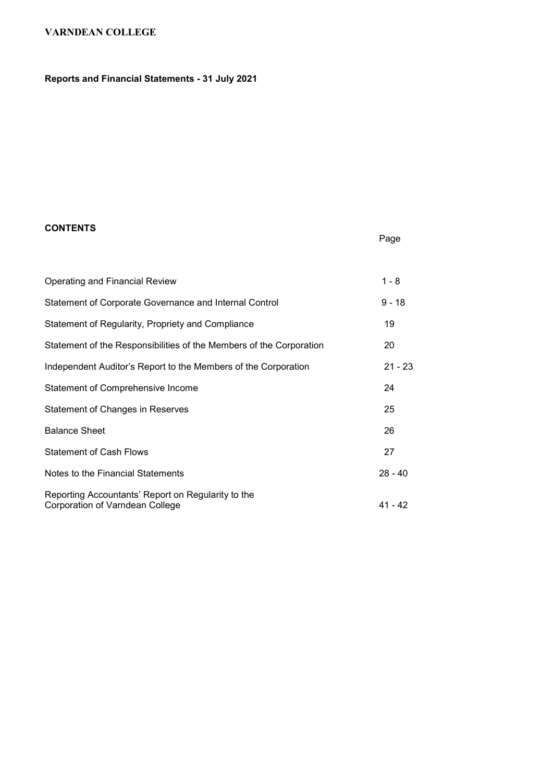# Reports and Financial Statements - 31 July 2021

### **CONTENTS**

## Page

| Operating and Financial Review                                                        | $1 - 8$   |
|---------------------------------------------------------------------------------------|-----------|
| Statement of Corporate Governance and Internal Control                                | $9 - 18$  |
| Statement of Regularity, Propriety and Compliance                                     | 19        |
| Statement of the Responsibilities of the Members of the Corporation                   | 20        |
| Independent Auditor's Report to the Members of the Corporation                        | $21 - 23$ |
| Statement of Comprehensive Income                                                     | 24        |
| Statement of Changes in Reserves                                                      | 25        |
| <b>Balance Sheet</b>                                                                  | 26        |
| <b>Statement of Cash Flows</b>                                                        | 27        |
| Notes to the Financial Statements                                                     | $28 - 40$ |
| Reporting Accountants' Report on Regularity to the<br>Corporation of Varndean College | 41 - 42   |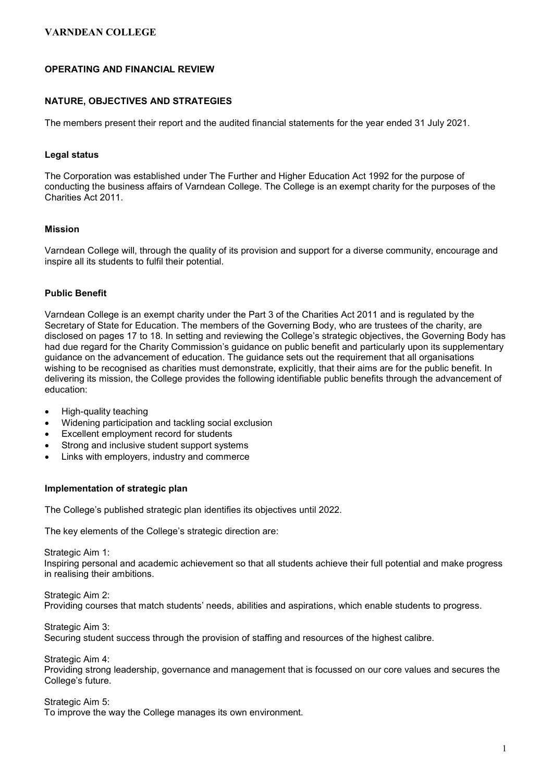### OPERATING AND FINANCIAL REVIEW

### NATURE, OBJECTIVES AND STRATEGIES

The members present their report and the audited financial statements for the year ended 31 July 2021.

#### Legal status

The Corporation was established under The Further and Higher Education Act 1992 for the purpose of conducting the business affairs of Varndean College. The College is an exempt charity for the purposes of the Charities Act 2011.

#### Mission

Varndean College will, through the quality of its provision and support for a diverse community, encourage and inspire all its students to fulfil their potential.

### Public Benefit

Varndean College is an exempt charity under the Part 3 of the Charities Act 2011 and is regulated by the Secretary of State for Education. The members of the Governing Body, who are trustees of the charity, are disclosed on pages 17 to 18. In setting and reviewing the College's strategic objectives, the Governing Body has had due regard for the Charity Commission's guidance on public benefit and particularly upon its supplementary guidance on the advancement of education. The guidance sets out the requirement that all organisations wishing to be recognised as charities must demonstrate, explicitly, that their aims are for the public benefit. In delivering its mission, the College provides the following identifiable public benefits through the advancement of education:

- High-quality teaching
- Widening participation and tackling social exclusion
- Excellent employment record for students
- Strong and inclusive student support systems
- Links with employers, industry and commerce

#### Implementation of strategic plan

The College's published strategic plan identifies its objectives until 2022.

The key elements of the College's strategic direction are:

Strategic Aim 1:

Inspiring personal and academic achievement so that all students achieve their full potential and make progress in realising their ambitions.

Strategic Aim 2: Providing courses that match students' needs, abilities and aspirations, which enable students to progress.

Strategic Aim 3: Securing student success through the provision of staffing and resources of the highest calibre.

Strategic Aim 4: Providing strong leadership, governance and management that is focussed on our core values and secures the College's future.

Strategic Aim 5: To improve the way the College manages its own environment.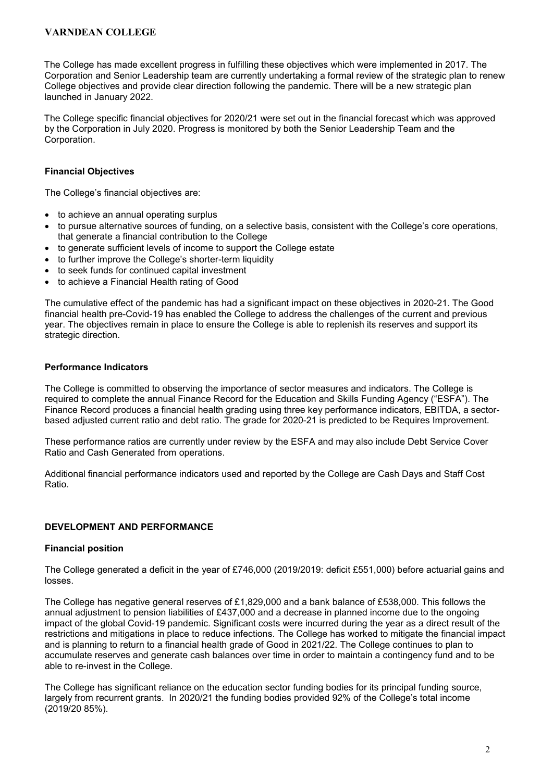The College has made excellent progress in fulfilling these objectives which were implemented in 2017. The Corporation and Senior Leadership team are currently undertaking a formal review of the strategic plan to renew College objectives and provide clear direction following the pandemic. There will be a new strategic plan launched in January 2022.

The College specific financial objectives for 2020/21 were set out in the financial forecast which was approved by the Corporation in July 2020. Progress is monitored by both the Senior Leadership Team and the Corporation.

### Financial Objectives

The College's financial objectives are:

- to achieve an annual operating surplus
- to pursue alternative sources of funding, on a selective basis, consistent with the College's core operations, that generate a financial contribution to the College
- to generate sufficient levels of income to support the College estate
- to further improve the College's shorter-term liquidity
- to seek funds for continued capital investment
- to achieve a Financial Health rating of Good

The cumulative effect of the pandemic has had a significant impact on these objectives in 2020-21. The Good financial health pre-Covid-19 has enabled the College to address the challenges of the current and previous year. The objectives remain in place to ensure the College is able to replenish its reserves and support its strategic direction.

### Performance Indicators

The College is committed to observing the importance of sector measures and indicators. The College is required to complete the annual Finance Record for the Education and Skills Funding Agency ("ESFA"). The Finance Record produces a financial health grading using three key performance indicators, EBITDA, a sectorbased adjusted current ratio and debt ratio. The grade for 2020-21 is predicted to be Requires Improvement.

These performance ratios are currently under review by the ESFA and may also include Debt Service Cover Ratio and Cash Generated from operations.

Additional financial performance indicators used and reported by the College are Cash Days and Staff Cost Ratio.

### DEVELOPMENT AND PERFORMANCE

#### Financial position

The College generated a deficit in the year of £746,000 (2019/2019: deficit £551,000) before actuarial gains and losses.

The College has negative general reserves of £1,829,000 and a bank balance of £538,000. This follows the annual adjustment to pension liabilities of £437,000 and a decrease in planned income due to the ongoing impact of the global Covid-19 pandemic. Significant costs were incurred during the year as a direct result of the restrictions and mitigations in place to reduce infections. The College has worked to mitigate the financial impact and is planning to return to a financial health grade of Good in 2021/22. The College continues to plan to accumulate reserves and generate cash balances over time in order to maintain a contingency fund and to be able to re-invest in the College.

The College has significant reliance on the education sector funding bodies for its principal funding source, largely from recurrent grants. In 2020/21 the funding bodies provided 92% of the College's total income (2019/20 85%).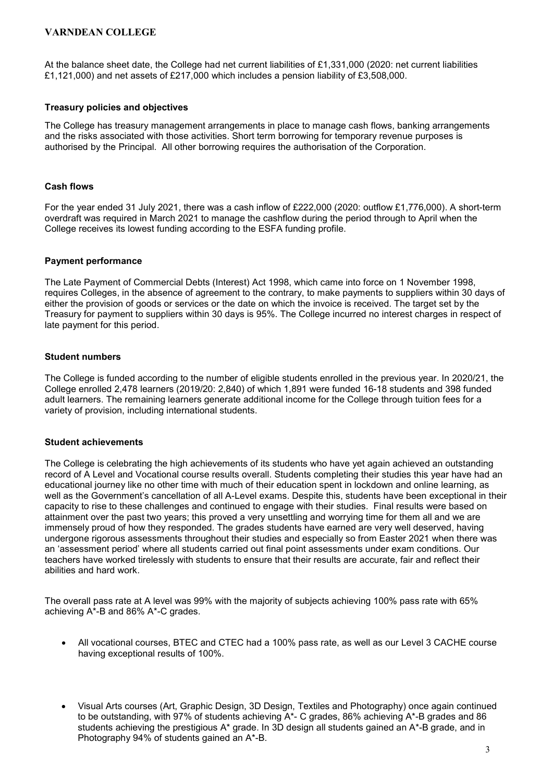At the balance sheet date, the College had net current liabilities of £1,331,000 (2020: net current liabilities £1,121,000) and net assets of £217,000 which includes a pension liability of £3,508,000.

### Treasury policies and objectives

The College has treasury management arrangements in place to manage cash flows, banking arrangements and the risks associated with those activities. Short term borrowing for temporary revenue purposes is authorised by the Principal. All other borrowing requires the authorisation of the Corporation.

### Cash flows

For the year ended 31 July 2021, there was a cash inflow of £222,000 (2020: outflow £1,776,000). A short-term overdraft was required in March 2021 to manage the cashflow during the period through to April when the College receives its lowest funding according to the ESFA funding profile.

### Payment performance

The Late Payment of Commercial Debts (Interest) Act 1998, which came into force on 1 November 1998, requires Colleges, in the absence of agreement to the contrary, to make payments to suppliers within 30 days of either the provision of goods or services or the date on which the invoice is received. The target set by the Treasury for payment to suppliers within 30 days is 95%. The College incurred no interest charges in respect of late payment for this period.

### Student numbers

The College is funded according to the number of eligible students enrolled in the previous year. In 2020/21, the College enrolled 2,478 learners (2019/20: 2,840) of which 1,891 were funded 16-18 students and 398 funded adult learners. The remaining learners generate additional income for the College through tuition fees for a variety of provision, including international students.

#### Student achievements

The College is celebrating the high achievements of its students who have yet again achieved an outstanding record of A Level and Vocational course results overall. Students completing their studies this year have had an educational journey like no other time with much of their education spent in lockdown and online learning, as well as the Government's cancellation of all A-Level exams. Despite this, students have been exceptional in their capacity to rise to these challenges and continued to engage with their studies. Final results were based on attainment over the past two years; this proved a very unsettling and worrying time for them all and we are immensely proud of how they responded. The grades students have earned are very well deserved, having undergone rigorous assessments throughout their studies and especially so from Easter 2021 when there was an 'assessment period' where all students carried out final point assessments under exam conditions. Our teachers have worked tirelessly with students to ensure that their results are accurate, fair and reflect their abilities and hard work.

The overall pass rate at A level was 99% with the majority of subjects achieving 100% pass rate with 65% achieving A\*-B and 86% A\*-C grades.

- All vocational courses, BTEC and CTEC had a 100% pass rate, as well as our Level 3 CACHE course having exceptional results of 100%.
- Visual Arts courses (Art, Graphic Design, 3D Design, Textiles and Photography) once again continued to be outstanding, with 97% of students achieving A\*- C grades, 86% achieving A\*-B grades and 86 students achieving the prestigious A\* grade. In 3D design all students gained an A\*-B grade, and in Photography 94% of students gained an A\*-B.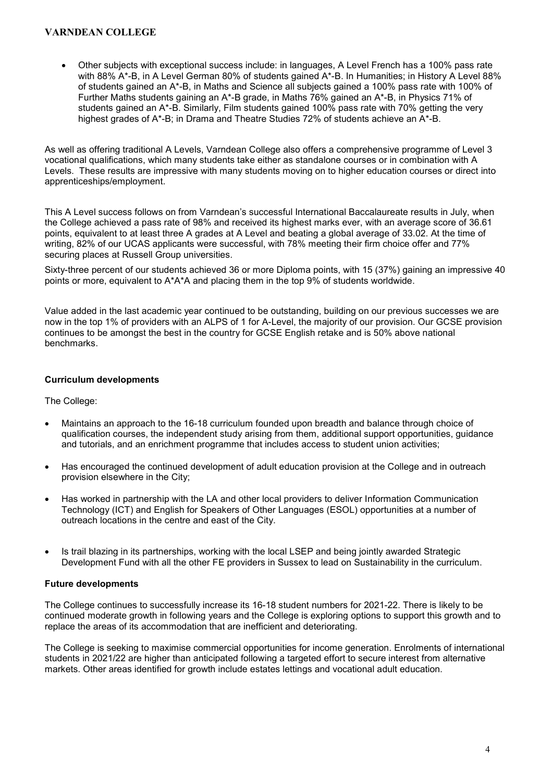Other subjects with exceptional success include: in languages, A Level French has a 100% pass rate with 88% A\*-B, in A Level German 80% of students gained A\*-B. In Humanities; in History A Level 88% of students gained an A\*-B, in Maths and Science all subjects gained a 100% pass rate with 100% of Further Maths students gaining an A\*-B grade, in Maths 76% gained an A\*-B, in Physics 71% of students gained an A\*-B. Similarly, Film students gained 100% pass rate with 70% getting the very highest grades of A<sup>\*</sup>-B; in Drama and Theatre Studies 72% of students achieve an A<sup>\*</sup>-B.

As well as offering traditional A Levels, Varndean College also offers a comprehensive programme of Level 3 vocational qualifications, which many students take either as standalone courses or in combination with A Levels. These results are impressive with many students moving on to higher education courses or direct into apprenticeships/employment.

This A Level success follows on from Varndean's successful International Baccalaureate results in July, when the College achieved a pass rate of 98% and received its highest marks ever, with an average score of 36.61 points, equivalent to at least three A grades at A Level and beating a global average of 33.02. At the time of writing, 82% of our UCAS applicants were successful, with 78% meeting their firm choice offer and 77% securing places at Russell Group universities.

Sixty-three percent of our students achieved 36 or more Diploma points, with 15 (37%) gaining an impressive 40 points or more, equivalent to A\*A\*A and placing them in the top 9% of students worldwide.

Value added in the last academic year continued to be outstanding, building on our previous successes we are now in the top 1% of providers with an ALPS of 1 for A-Level, the majority of our provision. Our GCSE provision continues to be amongst the best in the country for GCSE English retake and is 50% above national benchmarks.

### Curriculum developments

### The College:

- Maintains an approach to the 16-18 curriculum founded upon breadth and balance through choice of qualification courses, the independent study arising from them, additional support opportunities, guidance and tutorials, and an enrichment programme that includes access to student union activities;
- Has encouraged the continued development of adult education provision at the College and in outreach provision elsewhere in the City;
- Has worked in partnership with the LA and other local providers to deliver Information Communication Technology (ICT) and English for Speakers of Other Languages (ESOL) opportunities at a number of outreach locations in the centre and east of the City.
- Is trail blazing in its partnerships, working with the local LSEP and being jointly awarded Strategic Development Fund with all the other FE providers in Sussex to lead on Sustainability in the curriculum.

### Future developments

The College continues to successfully increase its 16-18 student numbers for 2021-22. There is likely to be continued moderate growth in following years and the College is exploring options to support this growth and to replace the areas of its accommodation that are inefficient and deteriorating.

The College is seeking to maximise commercial opportunities for income generation. Enrolments of international students in 2021/22 are higher than anticipated following a targeted effort to secure interest from alternative markets. Other areas identified for growth include estates lettings and vocational adult education.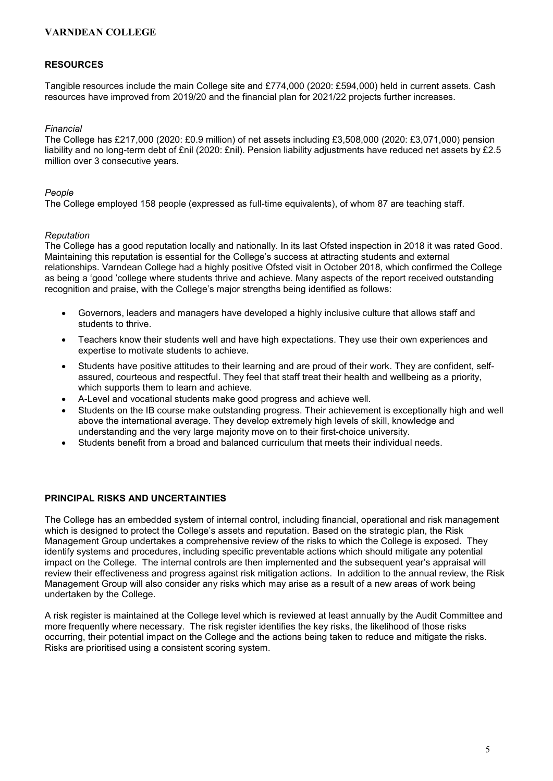### RESOURCES

Tangible resources include the main College site and £774,000 (2020: £594,000) held in current assets. Cash resources have improved from 2019/20 and the financial plan for 2021/22 projects further increases.

#### Financial

The College has £217,000 (2020: £0.9 million) of net assets including £3,508,000 (2020: £3,071,000) pension liability and no long-term debt of £nil (2020: £nil). Pension liability adjustments have reduced net assets by £2.5 million over 3 consecutive years.

#### People

The College employed 158 people (expressed as full-time equivalents), of whom 87 are teaching staff.

#### Reputation

The College has a good reputation locally and nationally. In its last Ofsted inspection in 2018 it was rated Good. Maintaining this reputation is essential for the College's success at attracting students and external relationships. Varndean College had a highly positive Ofsted visit in October 2018, which confirmed the College as being a 'good 'college where students thrive and achieve. Many aspects of the report received outstanding recognition and praise, with the College's major strengths being identified as follows:

- Governors, leaders and managers have developed a highly inclusive culture that allows staff and students to thrive.
- Teachers know their students well and have high expectations. They use their own experiences and expertise to motivate students to achieve.
- Students have positive attitudes to their learning and are proud of their work. They are confident, selfassured, courteous and respectful. They feel that staff treat their health and wellbeing as a priority, which supports them to learn and achieve.
- A-Level and vocational students make good progress and achieve well.
- Students on the IB course make outstanding progress. Their achievement is exceptionally high and well above the international average. They develop extremely high levels of skill, knowledge and understanding and the very large majority move on to their first-choice university.
- Students benefit from a broad and balanced curriculum that meets their individual needs.

#### PRINCIPAL RISKS AND UNCERTAINTIES

The College has an embedded system of internal control, including financial, operational and risk management which is designed to protect the College's assets and reputation. Based on the strategic plan, the Risk Management Group undertakes a comprehensive review of the risks to which the College is exposed. They identify systems and procedures, including specific preventable actions which should mitigate any potential impact on the College. The internal controls are then implemented and the subsequent year's appraisal will review their effectiveness and progress against risk mitigation actions. In addition to the annual review, the Risk Management Group will also consider any risks which may arise as a result of a new areas of work being undertaken by the College.

A risk register is maintained at the College level which is reviewed at least annually by the Audit Committee and more frequently where necessary. The risk register identifies the key risks, the likelihood of those risks occurring, their potential impact on the College and the actions being taken to reduce and mitigate the risks. Risks are prioritised using a consistent scoring system.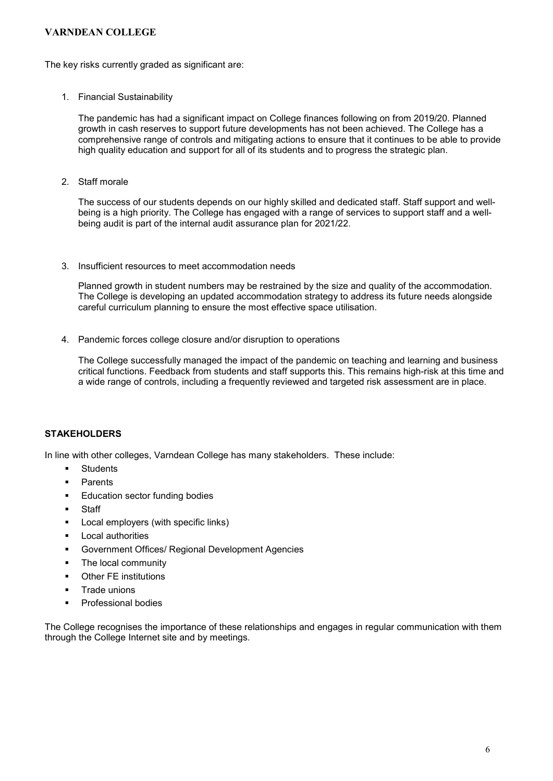The key risks currently graded as significant are:

1. Financial Sustainability

The pandemic has had a significant impact on College finances following on from 2019/20. Planned growth in cash reserves to support future developments has not been achieved. The College has a comprehensive range of controls and mitigating actions to ensure that it continues to be able to provide high quality education and support for all of its students and to progress the strategic plan.

2. Staff morale

The success of our students depends on our highly skilled and dedicated staff. Staff support and wellbeing is a high priority. The College has engaged with a range of services to support staff and a wellbeing audit is part of the internal audit assurance plan for 2021/22.

3. Insufficient resources to meet accommodation needs

Planned growth in student numbers may be restrained by the size and quality of the accommodation. The College is developing an updated accommodation strategy to address its future needs alongside careful curriculum planning to ensure the most effective space utilisation.

4. Pandemic forces college closure and/or disruption to operations

The College successfully managed the impact of the pandemic on teaching and learning and business critical functions. Feedback from students and staff supports this. This remains high-risk at this time and a wide range of controls, including a frequently reviewed and targeted risk assessment are in place.

### **STAKEHOLDERS**

In line with other colleges, Varndean College has many stakeholders. These include:

- **Students**
- Parents
- Education sector funding bodies
- Staff
- **Local employers (with specific links)**
- **Local authorities**
- Government Offices/ Regional Development Agencies
- The local community
- Other FE institutions
- **Trade unions**
- **•** Professional bodies

The College recognises the importance of these relationships and engages in regular communication with them through the College Internet site and by meetings.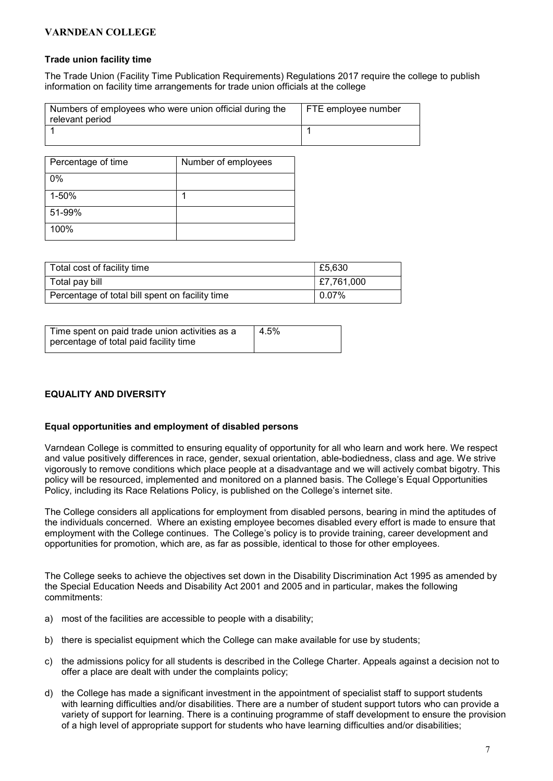#### Trade union facility time

The Trade Union (Facility Time Publication Requirements) Regulations 2017 require the college to publish information on facility time arrangements for trade union officials at the college

| Numbers of employees who were union official during the<br>relevant period | FTE employee number |
|----------------------------------------------------------------------------|---------------------|
|                                                                            |                     |

| Percentage of time | Number of employees |
|--------------------|---------------------|
| $0\%$              |                     |
| 1-50%              |                     |
| 51-99%             |                     |
| 100%               |                     |

| Total cost of facility time                     | £5,630     |
|-------------------------------------------------|------------|
| Total pay bill                                  | E7,761,000 |
| Percentage of total bill spent on facility time | 0.07%      |

| Time spent on paid trade union activities as a | 4.5% |
|------------------------------------------------|------|
| percentage of total paid facility time         |      |

### EQUALITY AND DIVERSITY

#### Equal opportunities and employment of disabled persons

Varndean College is committed to ensuring equality of opportunity for all who learn and work here. We respect and value positively differences in race, gender, sexual orientation, able-bodiedness, class and age. We strive vigorously to remove conditions which place people at a disadvantage and we will actively combat bigotry. This policy will be resourced, implemented and monitored on a planned basis. The College's Equal Opportunities Policy, including its Race Relations Policy, is published on the College's internet site.

The College considers all applications for employment from disabled persons, bearing in mind the aptitudes of the individuals concerned. Where an existing employee becomes disabled every effort is made to ensure that employment with the College continues. The College's policy is to provide training, career development and opportunities for promotion, which are, as far as possible, identical to those for other employees.

The College seeks to achieve the objectives set down in the Disability Discrimination Act 1995 as amended by the Special Education Needs and Disability Act 2001 and 2005 and in particular, makes the following commitments:

- a) most of the facilities are accessible to people with a disability;
- b) there is specialist equipment which the College can make available for use by students;
- c) the admissions policy for all students is described in the College Charter. Appeals against a decision not to offer a place are dealt with under the complaints policy;
- d) the College has made a significant investment in the appointment of specialist staff to support students with learning difficulties and/or disabilities. There are a number of student support tutors who can provide a variety of support for learning. There is a continuing programme of staff development to ensure the provision of a high level of appropriate support for students who have learning difficulties and/or disabilities;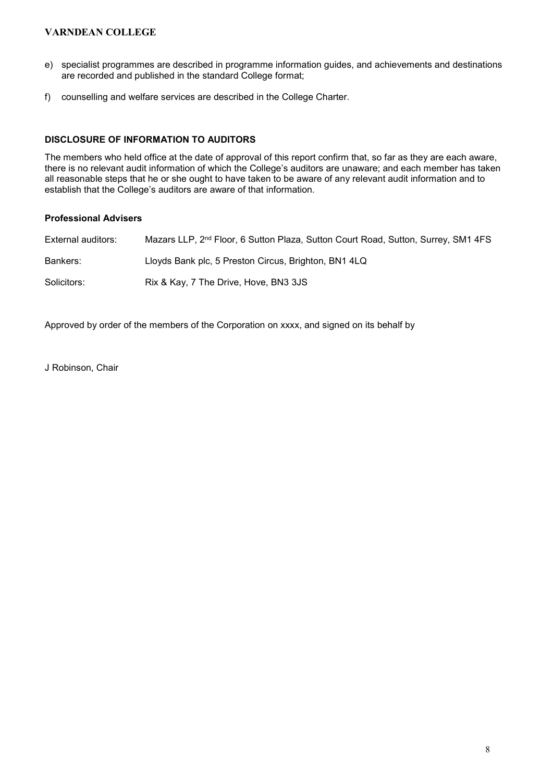- e) specialist programmes are described in programme information guides, and achievements and destinations are recorded and published in the standard College format;
- f) counselling and welfare services are described in the College Charter.

### DISCLOSURE OF INFORMATION TO AUDITORS

The members who held office at the date of approval of this report confirm that, so far as they are each aware, there is no relevant audit information of which the College's auditors are unaware; and each member has taken all reasonable steps that he or she ought to have taken to be aware of any relevant audit information and to establish that the College's auditors are aware of that information.

### Professional Advisers

| External auditors: | Mazars LLP, 2 <sup>nd</sup> Floor, 6 Sutton Plaza, Sutton Court Road, Sutton, Surrey, SM1 4FS |
|--------------------|-----------------------------------------------------------------------------------------------|
| Bankers:           | Lloyds Bank plc, 5 Preston Circus, Brighton, BN1 4LQ                                          |
| Solicitors:        | Rix & Kay, 7 The Drive, Hove, BN3 3JS                                                         |

Approved by order of the members of the Corporation on xxxx, and signed on its behalf by

J Robinson, Chair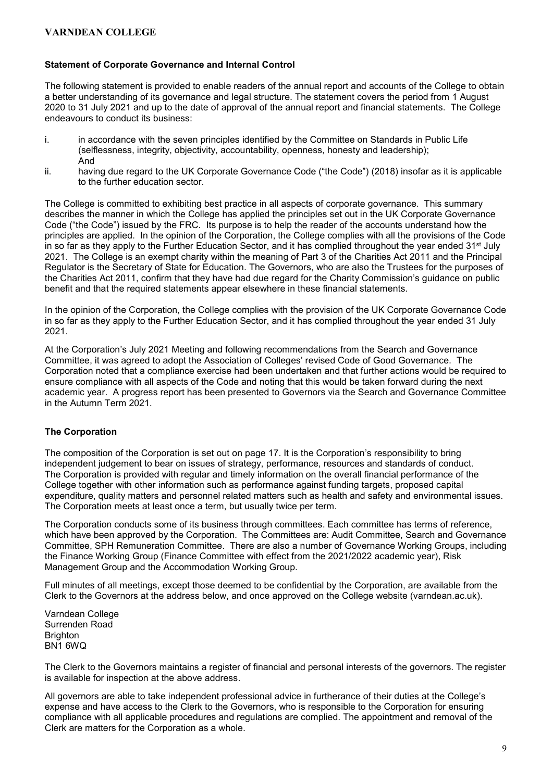### Statement of Corporate Governance and Internal Control

The following statement is provided to enable readers of the annual report and accounts of the College to obtain a better understanding of its governance and legal structure. The statement covers the period from 1 August 2020 to 31 July 2021 and up to the date of approval of the annual report and financial statements. The College endeavours to conduct its business:

- i. in accordance with the seven principles identified by the Committee on Standards in Public Life (selflessness, integrity, objectivity, accountability, openness, honesty and leadership); And
- ii. having due regard to the UK Corporate Governance Code ("the Code") (2018) insofar as it is applicable to the further education sector.

The College is committed to exhibiting best practice in all aspects of corporate governance. This summary describes the manner in which the College has applied the principles set out in the UK Corporate Governance Code ("the Code") issued by the FRC. Its purpose is to help the reader of the accounts understand how the principles are applied. In the opinion of the Corporation, the College complies with all the provisions of the Code in so far as they apply to the Further Education Sector, and it has complied throughout the year ended  $31<sup>st</sup>$  July 2021. The College is an exempt charity within the meaning of Part 3 of the Charities Act 2011 and the Principal Regulator is the Secretary of State for Education. The Governors, who are also the Trustees for the purposes of the Charities Act 2011, confirm that they have had due regard for the Charity Commission's guidance on public benefit and that the required statements appear elsewhere in these financial statements.

In the opinion of the Corporation, the College complies with the provision of the UK Corporate Governance Code in so far as they apply to the Further Education Sector, and it has complied throughout the year ended 31 July 2021.

At the Corporation's July 2021 Meeting and following recommendations from the Search and Governance Committee, it was agreed to adopt the Association of Colleges' revised Code of Good Governance. The Corporation noted that a compliance exercise had been undertaken and that further actions would be required to ensure compliance with all aspects of the Code and noting that this would be taken forward during the next academic year. A progress report has been presented to Governors via the Search and Governance Committee in the Autumn Term 2021.

### The Corporation

The composition of the Corporation is set out on page 17. It is the Corporation's responsibility to bring independent judgement to bear on issues of strategy, performance, resources and standards of conduct. The Corporation is provided with regular and timely information on the overall financial performance of the College together with other information such as performance against funding targets, proposed capital expenditure, quality matters and personnel related matters such as health and safety and environmental issues. The Corporation meets at least once a term, but usually twice per term.

The Corporation conducts some of its business through committees. Each committee has terms of reference, which have been approved by the Corporation. The Committees are: Audit Committee, Search and Governance Committee, SPH Remuneration Committee. There are also a number of Governance Working Groups, including the Finance Working Group (Finance Committee with effect from the 2021/2022 academic year), Risk Management Group and the Accommodation Working Group.

Full minutes of all meetings, except those deemed to be confidential by the Corporation, are available from the Clerk to the Governors at the address below, and once approved on the College website (varndean.ac.uk).

Varndean College Surrenden Road **Brighton** BN1 6WQ

The Clerk to the Governors maintains a register of financial and personal interests of the governors. The register is available for inspection at the above address.

All governors are able to take independent professional advice in furtherance of their duties at the College's expense and have access to the Clerk to the Governors, who is responsible to the Corporation for ensuring compliance with all applicable procedures and regulations are complied. The appointment and removal of the Clerk are matters for the Corporation as a whole.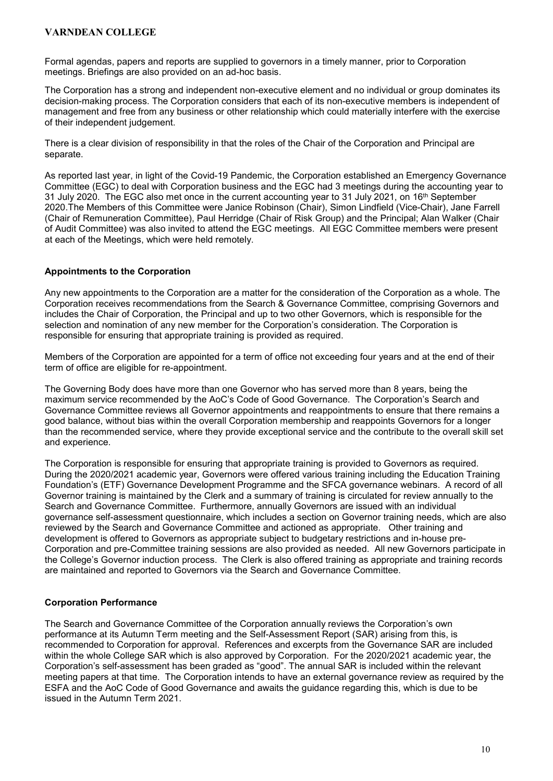Formal agendas, papers and reports are supplied to governors in a timely manner, prior to Corporation meetings. Briefings are also provided on an ad-hoc basis.

The Corporation has a strong and independent non-executive element and no individual or group dominates its decision-making process. The Corporation considers that each of its non-executive members is independent of management and free from any business or other relationship which could materially interfere with the exercise of their independent judgement.

There is a clear division of responsibility in that the roles of the Chair of the Corporation and Principal are separate.

As reported last year, in light of the Covid-19 Pandemic, the Corporation established an Emergency Governance Committee (EGC) to deal with Corporation business and the EGC had 3 meetings during the accounting year to 31 July 2020. The EGC also met once in the current accounting year to 31 July 2021, on 16<sup>th</sup> September 2020.The Members of this Committee were Janice Robinson (Chair), Simon Lindfield (Vice-Chair), Jane Farrell (Chair of Remuneration Committee), Paul Herridge (Chair of Risk Group) and the Principal; Alan Walker (Chair of Audit Committee) was also invited to attend the EGC meetings. All EGC Committee members were present at each of the Meetings, which were held remotely.

### Appointments to the Corporation

Any new appointments to the Corporation are a matter for the consideration of the Corporation as a whole. The Corporation receives recommendations from the Search & Governance Committee, comprising Governors and includes the Chair of Corporation, the Principal and up to two other Governors, which is responsible for the selection and nomination of any new member for the Corporation's consideration. The Corporation is responsible for ensuring that appropriate training is provided as required.

Members of the Corporation are appointed for a term of office not exceeding four years and at the end of their term of office are eligible for re-appointment.

The Governing Body does have more than one Governor who has served more than 8 years, being the maximum service recommended by the AoC's Code of Good Governance. The Corporation's Search and Governance Committee reviews all Governor appointments and reappointments to ensure that there remains a good balance, without bias within the overall Corporation membership and reappoints Governors for a longer than the recommended service, where they provide exceptional service and the contribute to the overall skill set and experience.

The Corporation is responsible for ensuring that appropriate training is provided to Governors as required. During the 2020/2021 academic year, Governors were offered various training including the Education Training Foundation's (ETF) Governance Development Programme and the SFCA governance webinars. A record of all Governor training is maintained by the Clerk and a summary of training is circulated for review annually to the Search and Governance Committee. Furthermore, annually Governors are issued with an individual governance self-assessment questionnaire, which includes a section on Governor training needs, which are also reviewed by the Search and Governance Committee and actioned as appropriate. Other training and development is offered to Governors as appropriate subject to budgetary restrictions and in-house pre-Corporation and pre-Committee training sessions are also provided as needed. All new Governors participate in the College's Governor induction process. The Clerk is also offered training as appropriate and training records are maintained and reported to Governors via the Search and Governance Committee.

### Corporation Performance

The Search and Governance Committee of the Corporation annually reviews the Corporation's own performance at its Autumn Term meeting and the Self-Assessment Report (SAR) arising from this, is recommended to Corporation for approval. References and excerpts from the Governance SAR are included within the whole College SAR which is also approved by Corporation. For the 2020/2021 academic year, the Corporation's self-assessment has been graded as "good". The annual SAR is included within the relevant meeting papers at that time. The Corporation intends to have an external governance review as required by the ESFA and the AoC Code of Good Governance and awaits the guidance regarding this, which is due to be issued in the Autumn Term 2021.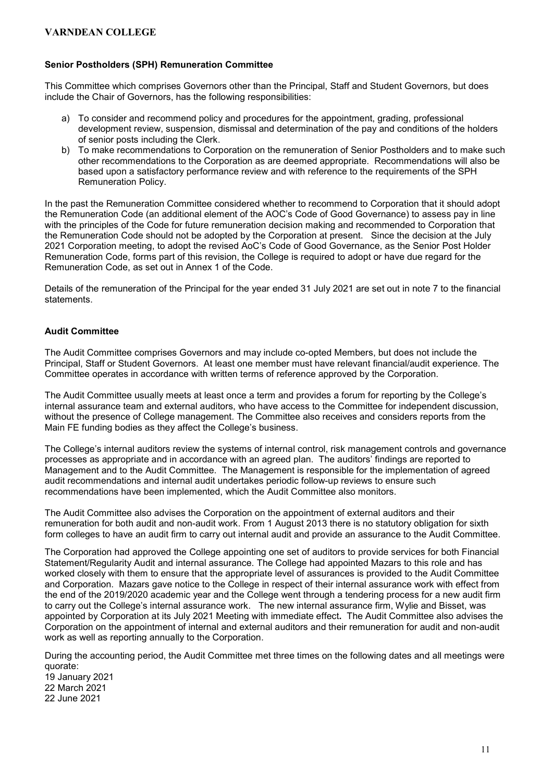### Senior Postholders (SPH) Remuneration Committee

This Committee which comprises Governors other than the Principal, Staff and Student Governors, but does include the Chair of Governors, has the following responsibilities:

- a) To consider and recommend policy and procedures for the appointment, grading, professional development review, suspension, dismissal and determination of the pay and conditions of the holders of senior posts including the Clerk.
- b) To make recommendations to Corporation on the remuneration of Senior Postholders and to make such other recommendations to the Corporation as are deemed appropriate. Recommendations will also be based upon a satisfactory performance review and with reference to the requirements of the SPH Remuneration Policy.

In the past the Remuneration Committee considered whether to recommend to Corporation that it should adopt the Remuneration Code (an additional element of the AOC's Code of Good Governance) to assess pay in line with the principles of the Code for future remuneration decision making and recommended to Corporation that the Remuneration Code should not be adopted by the Corporation at present. Since the decision at the July 2021 Corporation meeting, to adopt the revised AoC's Code of Good Governance, as the Senior Post Holder Remuneration Code, forms part of this revision, the College is required to adopt or have due regard for the Remuneration Code, as set out in Annex 1 of the Code.

Details of the remuneration of the Principal for the year ended 31 July 2021 are set out in note 7 to the financial statements.

### Audit Committee

The Audit Committee comprises Governors and may include co-opted Members, but does not include the Principal, Staff or Student Governors. At least one member must have relevant financial/audit experience. The Committee operates in accordance with written terms of reference approved by the Corporation.

The Audit Committee usually meets at least once a term and provides a forum for reporting by the College's internal assurance team and external auditors, who have access to the Committee for independent discussion, without the presence of College management. The Committee also receives and considers reports from the Main FE funding bodies as they affect the College's business.

The College's internal auditors review the systems of internal control, risk management controls and governance processes as appropriate and in accordance with an agreed plan. The auditors' findings are reported to Management and to the Audit Committee. The Management is responsible for the implementation of agreed audit recommendations and internal audit undertakes periodic follow-up reviews to ensure such recommendations have been implemented, which the Audit Committee also monitors.

The Audit Committee also advises the Corporation on the appointment of external auditors and their remuneration for both audit and non-audit work. From 1 August 2013 there is no statutory obligation for sixth form colleges to have an audit firm to carry out internal audit and provide an assurance to the Audit Committee.

The Corporation had approved the College appointing one set of auditors to provide services for both Financial Statement/Regularity Audit and internal assurance. The College had appointed Mazars to this role and has worked closely with them to ensure that the appropriate level of assurances is provided to the Audit Committee and Corporation. Mazars gave notice to the College in respect of their internal assurance work with effect from the end of the 2019/2020 academic year and the College went through a tendering process for a new audit firm to carry out the College's internal assurance work. The new internal assurance firm, Wylie and Bisset, was appointed by Corporation at its July 2021 Meeting with immediate effect. The Audit Committee also advises the Corporation on the appointment of internal and external auditors and their remuneration for audit and non-audit work as well as reporting annually to the Corporation.

During the accounting period, the Audit Committee met three times on the following dates and all meetings were quorate: 19 January 2021 22 March 2021 22 June 2021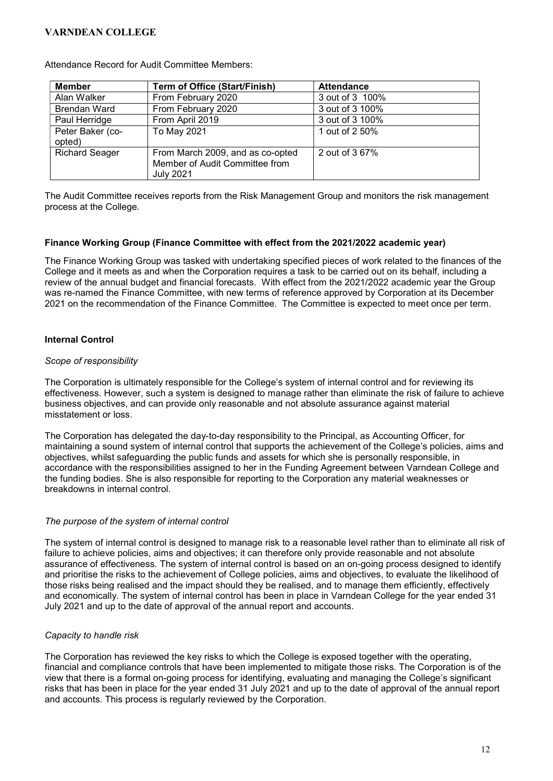| <b>Member</b>              | <b>Term of Office (Start/Finish)</b>                                                   | <b>Attendance</b> |
|----------------------------|----------------------------------------------------------------------------------------|-------------------|
| Alan Walker                | From February 2020                                                                     | 3 out of 3 100%   |
| <b>Brendan Ward</b>        | From February 2020                                                                     | 3 out of 3 100%   |
| Paul Herridge              | From April 2019                                                                        | 3 out of 3 100%   |
| Peter Baker (co-<br>opted) | To May 2021                                                                            | 1 out of 2 50%    |
| <b>Richard Seager</b>      | From March 2009, and as co-opted<br>Member of Audit Committee from<br><b>July 2021</b> | 2 out of 3 67%    |

Attendance Record for Audit Committee Members:

The Audit Committee receives reports from the Risk Management Group and monitors the risk management process at the College.

#### Finance Working Group (Finance Committee with effect from the 2021/2022 academic year)

The Finance Working Group was tasked with undertaking specified pieces of work related to the finances of the College and it meets as and when the Corporation requires a task to be carried out on its behalf, including a review of the annual budget and financial forecasts. With effect from the 2021/2022 academic year the Group was re-named the Finance Committee, with new terms of reference approved by Corporation at its December 2021 on the recommendation of the Finance Committee. The Committee is expected to meet once per term.

### Internal Control

### Scope of responsibility

The Corporation is ultimately responsible for the College's system of internal control and for reviewing its effectiveness. However, such a system is designed to manage rather than eliminate the risk of failure to achieve business objectives, and can provide only reasonable and not absolute assurance against material misstatement or loss.

The Corporation has delegated the day-to-day responsibility to the Principal, as Accounting Officer, for maintaining a sound system of internal control that supports the achievement of the College's policies, aims and objectives, whilst safeguarding the public funds and assets for which she is personally responsible, in accordance with the responsibilities assigned to her in the Funding Agreement between Varndean College and the funding bodies. She is also responsible for reporting to the Corporation any material weaknesses or breakdowns in internal control.

#### The purpose of the system of internal control

The system of internal control is designed to manage risk to a reasonable level rather than to eliminate all risk of failure to achieve policies, aims and objectives; it can therefore only provide reasonable and not absolute assurance of effectiveness. The system of internal control is based on an on-going process designed to identify and prioritise the risks to the achievement of College policies, aims and objectives, to evaluate the likelihood of those risks being realised and the impact should they be realised, and to manage them efficiently, effectively and economically. The system of internal control has been in place in Varndean College for the year ended 31 July 2021 and up to the date of approval of the annual report and accounts.

### Capacity to handle risk

The Corporation has reviewed the key risks to which the College is exposed together with the operating, financial and compliance controls that have been implemented to mitigate those risks. The Corporation is of the view that there is a formal on-going process for identifying, evaluating and managing the College's significant risks that has been in place for the year ended 31 July 2021 and up to the date of approval of the annual report and accounts. This process is regularly reviewed by the Corporation.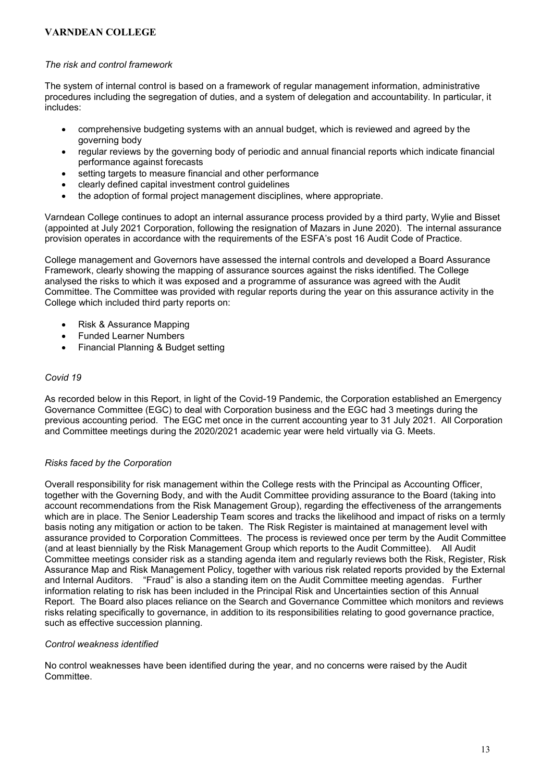### The risk and control framework

The system of internal control is based on a framework of regular management information, administrative procedures including the segregation of duties, and a system of delegation and accountability. In particular, it includes:

- comprehensive budgeting systems with an annual budget, which is reviewed and agreed by the governing body
- regular reviews by the governing body of periodic and annual financial reports which indicate financial performance against forecasts
- setting targets to measure financial and other performance
- clearly defined capital investment control guidelines
- the adoption of formal project management disciplines, where appropriate.

Varndean College continues to adopt an internal assurance process provided by a third party, Wylie and Bisset (appointed at July 2021 Corporation, following the resignation of Mazars in June 2020). The internal assurance provision operates in accordance with the requirements of the ESFA's post 16 Audit Code of Practice.

College management and Governors have assessed the internal controls and developed a Board Assurance Framework, clearly showing the mapping of assurance sources against the risks identified. The College analysed the risks to which it was exposed and a programme of assurance was agreed with the Audit Committee. The Committee was provided with regular reports during the year on this assurance activity in the College which included third party reports on:

- Risk & Assurance Mapping
- Funded Learner Numbers
- Financial Planning & Budget setting

### Covid 19

As recorded below in this Report, in light of the Covid-19 Pandemic, the Corporation established an Emergency Governance Committee (EGC) to deal with Corporation business and the EGC had 3 meetings during the previous accounting period. The EGC met once in the current accounting year to 31 July 2021. All Corporation and Committee meetings during the 2020/2021 academic year were held virtually via G. Meets.

### Risks faced by the Corporation

Overall responsibility for risk management within the College rests with the Principal as Accounting Officer, together with the Governing Body, and with the Audit Committee providing assurance to the Board (taking into account recommendations from the Risk Management Group), regarding the effectiveness of the arrangements which are in place. The Senior Leadership Team scores and tracks the likelihood and impact of risks on a termly basis noting any mitigation or action to be taken. The Risk Register is maintained at management level with assurance provided to Corporation Committees. The process is reviewed once per term by the Audit Committee (and at least biennially by the Risk Management Group which reports to the Audit Committee). All Audit Committee meetings consider risk as a standing agenda item and regularly reviews both the Risk, Register, Risk Assurance Map and Risk Management Policy, together with various risk related reports provided by the External and Internal Auditors. "Fraud" is also a standing item on the Audit Committee meeting agendas. Further information relating to risk has been included in the Principal Risk and Uncertainties section of this Annual Report. The Board also places reliance on the Search and Governance Committee which monitors and reviews risks relating specifically to governance, in addition to its responsibilities relating to good governance practice, such as effective succession planning.

### Control weakness identified

No control weaknesses have been identified during the year, and no concerns were raised by the Audit Committee.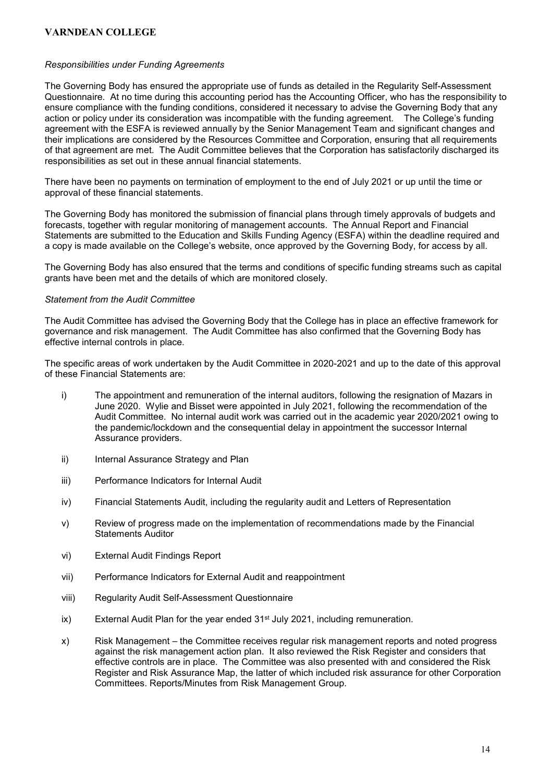#### Responsibilities under Funding Agreements

The Governing Body has ensured the appropriate use of funds as detailed in the Regularity Self-Assessment Questionnaire. At no time during this accounting period has the Accounting Officer, who has the responsibility to ensure compliance with the funding conditions, considered it necessary to advise the Governing Body that any action or policy under its consideration was incompatible with the funding agreement. The College's funding agreement with the ESFA is reviewed annually by the Senior Management Team and significant changes and their implications are considered by the Resources Committee and Corporation, ensuring that all requirements of that agreement are met. The Audit Committee believes that the Corporation has satisfactorily discharged its responsibilities as set out in these annual financial statements.

There have been no payments on termination of employment to the end of July 2021 or up until the time or approval of these financial statements.

The Governing Body has monitored the submission of financial plans through timely approvals of budgets and forecasts, together with regular monitoring of management accounts. The Annual Report and Financial Statements are submitted to the Education and Skills Funding Agency (ESFA) within the deadline required and a copy is made available on the College's website, once approved by the Governing Body, for access by all.

The Governing Body has also ensured that the terms and conditions of specific funding streams such as capital grants have been met and the details of which are monitored closely.

### Statement from the Audit Committee

The Audit Committee has advised the Governing Body that the College has in place an effective framework for governance and risk management. The Audit Committee has also confirmed that the Governing Body has effective internal controls in place.

The specific areas of work undertaken by the Audit Committee in 2020-2021 and up to the date of this approval of these Financial Statements are:

- i) The appointment and remuneration of the internal auditors, following the resignation of Mazars in June 2020. Wylie and Bisset were appointed in July 2021, following the recommendation of the Audit Committee. No internal audit work was carried out in the academic year 2020/2021 owing to the pandemic/lockdown and the consequential delay in appointment the successor Internal Assurance providers.
- ii) Internal Assurance Strategy and Plan
- iii) Performance Indicators for Internal Audit
- iv) Financial Statements Audit, including the regularity audit and Letters of Representation
- v) Review of progress made on the implementation of recommendations made by the Financial Statements Auditor
- vi) External Audit Findings Report
- vii) Performance Indicators for External Audit and reappointment
- viii) Regularity Audit Self-Assessment Questionnaire
- ix) External Audit Plan for the year ended  $31<sup>st</sup>$  July 2021, including remuneration.
- x) Risk Management the Committee receives regular risk management reports and noted progress against the risk management action plan. It also reviewed the Risk Register and considers that effective controls are in place. The Committee was also presented with and considered the Risk Register and Risk Assurance Map, the latter of which included risk assurance for other Corporation Committees. Reports/Minutes from Risk Management Group.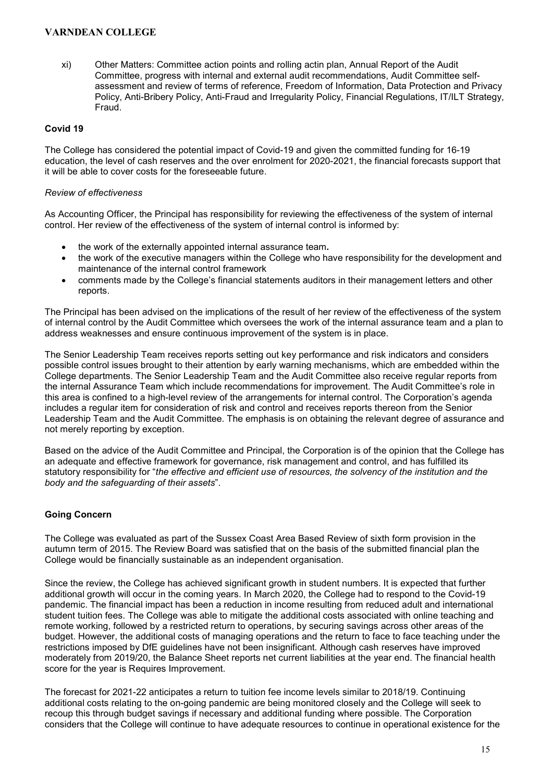xi) Other Matters: Committee action points and rolling actin plan, Annual Report of the Audit Committee, progress with internal and external audit recommendations, Audit Committee selfassessment and review of terms of reference, Freedom of Information, Data Protection and Privacy Policy, Anti-Bribery Policy, Anti-Fraud and Irregularity Policy, Financial Regulations, IT/ILT Strategy, Fraud.

### Covid 19

The College has considered the potential impact of Covid-19 and given the committed funding for 16-19 education, the level of cash reserves and the over enrolment for 2020-2021, the financial forecasts support that it will be able to cover costs for the foreseeable future.

#### Review of effectiveness

As Accounting Officer, the Principal has responsibility for reviewing the effectiveness of the system of internal control. Her review of the effectiveness of the system of internal control is informed by:

- the work of the externally appointed internal assurance team.
- the work of the executive managers within the College who have responsibility for the development and maintenance of the internal control framework
- comments made by the College's financial statements auditors in their management letters and other reports.

The Principal has been advised on the implications of the result of her review of the effectiveness of the system of internal control by the Audit Committee which oversees the work of the internal assurance team and a plan to address weaknesses and ensure continuous improvement of the system is in place.

The Senior Leadership Team receives reports setting out key performance and risk indicators and considers possible control issues brought to their attention by early warning mechanisms, which are embedded within the College departments. The Senior Leadership Team and the Audit Committee also receive regular reports from the internal Assurance Team which include recommendations for improvement. The Audit Committee's role in this area is confined to a high-level review of the arrangements for internal control. The Corporation's agenda includes a regular item for consideration of risk and control and receives reports thereon from the Senior Leadership Team and the Audit Committee. The emphasis is on obtaining the relevant degree of assurance and not merely reporting by exception.

Based on the advice of the Audit Committee and Principal, the Corporation is of the opinion that the College has an adequate and effective framework for governance, risk management and control, and has fulfilled its statutory responsibility for "the effective and efficient use of resources, the solvency of the institution and the body and the safeguarding of their assets".

### Going Concern

The College was evaluated as part of the Sussex Coast Area Based Review of sixth form provision in the autumn term of 2015. The Review Board was satisfied that on the basis of the submitted financial plan the College would be financially sustainable as an independent organisation.

Since the review, the College has achieved significant growth in student numbers. It is expected that further additional growth will occur in the coming years. In March 2020, the College had to respond to the Covid-19 pandemic. The financial impact has been a reduction in income resulting from reduced adult and international student tuition fees. The College was able to mitigate the additional costs associated with online teaching and remote working, followed by a restricted return to operations, by securing savings across other areas of the budget. However, the additional costs of managing operations and the return to face to face teaching under the restrictions imposed by DfE guidelines have not been insignificant. Although cash reserves have improved moderately from 2019/20, the Balance Sheet reports net current liabilities at the year end. The financial health score for the year is Requires Improvement.

The forecast for 2021-22 anticipates a return to tuition fee income levels similar to 2018/19. Continuing additional costs relating to the on-going pandemic are being monitored closely and the College will seek to recoup this through budget savings if necessary and additional funding where possible. The Corporation considers that the College will continue to have adequate resources to continue in operational existence for the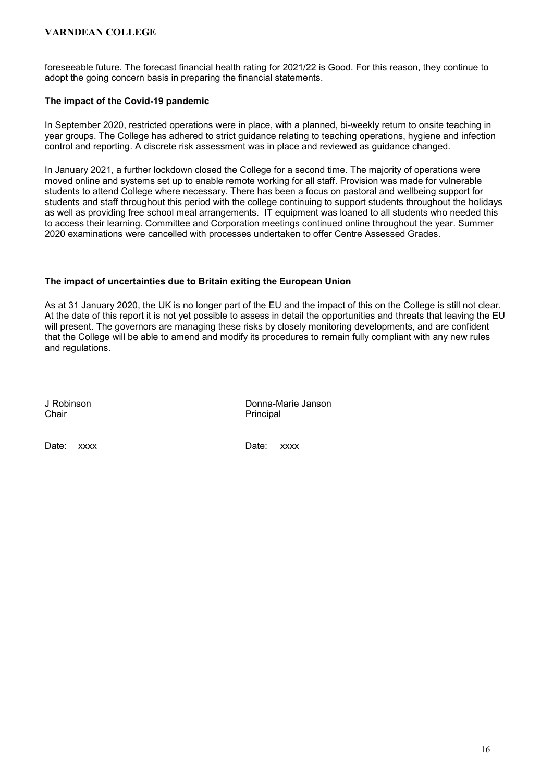foreseeable future. The forecast financial health rating for 2021/22 is Good. For this reason, they continue to adopt the going concern basis in preparing the financial statements.

### The impact of the Covid-19 pandemic

In September 2020, restricted operations were in place, with a planned, bi-weekly return to onsite teaching in year groups. The College has adhered to strict guidance relating to teaching operations, hygiene and infection control and reporting. A discrete risk assessment was in place and reviewed as guidance changed.

In January 2021, a further lockdown closed the College for a second time. The majority of operations were moved online and systems set up to enable remote working for all staff. Provision was made for vulnerable students to attend College where necessary. There has been a focus on pastoral and wellbeing support for students and staff throughout this period with the college continuing to support students throughout the holidays as well as providing free school meal arrangements. IT equipment was loaned to all students who needed this to access their learning. Committee and Corporation meetings continued online throughout the year. Summer 2020 examinations were cancelled with processes undertaken to offer Centre Assessed Grades.

### The impact of uncertainties due to Britain exiting the European Union

As at 31 January 2020, the UK is no longer part of the EU and the impact of this on the College is still not clear. At the date of this report it is not yet possible to assess in detail the opportunities and threats that leaving the EU will present. The governors are managing these risks by closely monitoring developments, and are confident that the College will be able to amend and modify its procedures to remain fully compliant with any new rules and regulations.

Chair **Chair** Principal

J Robinson Donna-Marie Janson

Date: xxxx Date: xxxx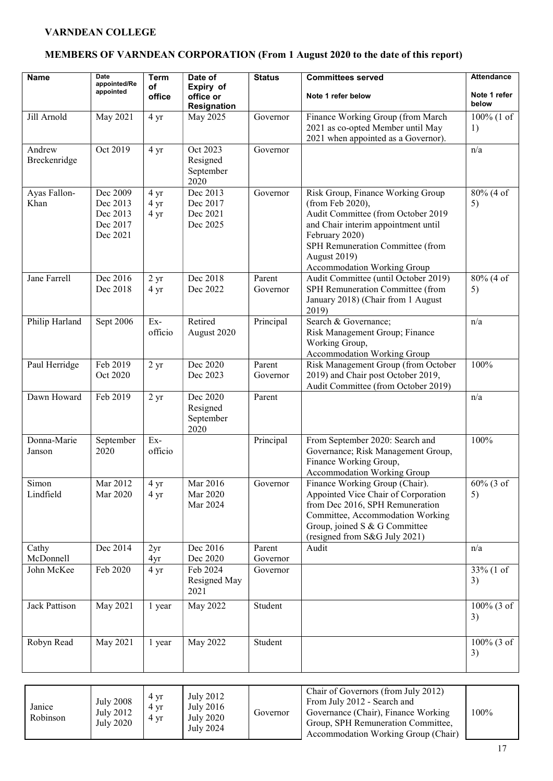# MEMBERS OF VARNDEAN CORPORATION (From 1 August 2020 to the date of this report)

| Name                   | <b>Date</b><br>appointed/Re<br>appointed                 | <b>Term</b><br>of<br>office | Date of<br>Expiry of<br>office or<br>Resignation | <b>Status</b>      | <b>Committees served</b><br>Note 1 refer below                                                                                                                                                                                          | <b>Attendance</b><br>Note 1 refer<br>below  |
|------------------------|----------------------------------------------------------|-----------------------------|--------------------------------------------------|--------------------|-----------------------------------------------------------------------------------------------------------------------------------------------------------------------------------------------------------------------------------------|---------------------------------------------|
| Jill Arnold            | May 2021                                                 | 4 yr                        | May 2025                                         | Governor           | Finance Working Group (from March<br>2021 as co-opted Member until May<br>2021 when appointed as a Governor).                                                                                                                           | $100\%$ (1 of<br>1)                         |
| Andrew<br>Breckenridge | Oct 2019                                                 | 4 yr                        | Oct 2023<br>Resigned<br>September<br>2020        | Governor           |                                                                                                                                                                                                                                         | n/a                                         |
| Ayas Fallon-<br>Khan   | Dec 2009<br>Dec 2013<br>Dec 2013<br>Dec 2017<br>Dec 2021 | 4 yr<br>4 yr<br>4 yr        | Dec 2013<br>Dec 2017<br>Dec 2021<br>Dec 2025     | Governor           | Risk Group, Finance Working Group<br>(from Feb 2020),<br>Audit Committee (from October 2019<br>and Chair interim appointment until<br>February 2020)<br>SPH Remuneration Committee (from<br>August 2019)<br>Accommodation Working Group | 80% (4 of<br>5)                             |
| Jane Farrell           | Dec 2016<br>Dec 2018                                     | $2 \text{ yr}$<br>4 yr      | Dec 2018<br>Dec 2022                             | Parent<br>Governor | Audit Committee (until October 2019)<br>SPH Remuneration Committee (from<br>January 2018) (Chair from 1 August<br>2019)                                                                                                                 | 80% (4 of<br>5)                             |
| Philip Harland         | Sept 2006                                                | Ex-<br>officio              | Retired<br>August 2020                           | Principal          | Search & Governance;<br>Risk Management Group; Finance<br>Working Group,<br>Accommodation Working Group                                                                                                                                 | n/a                                         |
| Paul Herridge          | Feb 2019<br>Oct 2020                                     | 2 <sub>yr</sub>             | Dec 2020<br>Dec 2023                             | Parent<br>Governor | Risk Management Group (from October<br>2019) and Chair post October 2019,<br>Audit Committee (from October 2019)                                                                                                                        | 100%                                        |
| Dawn Howard            | Feb 2019                                                 | 2 <sub>yr</sub>             | Dec 2020<br>Resigned<br>September<br>2020        | Parent             |                                                                                                                                                                                                                                         | n/a                                         |
| Donna-Marie<br>Janson  | September<br>2020                                        | Ex-<br>officio              |                                                  | Principal          | From September 2020: Search and<br>Governance; Risk Management Group,<br>Finance Working Group,<br>Accommodation Working Group                                                                                                          | 100%                                        |
| Simon<br>Lindfield     | Mar 2012<br>Mar 2020                                     | 4 yr<br>4 yr                | Mar 2016<br>Mar 2020<br>Mar 2024                 | Governor           | Finance Working Group (Chair).<br>Appointed Vice Chair of Corporation<br>from Dec 2016, SPH Remuneration<br>Committee, Accommodation Working<br>Group, joined S & G Committee<br>(resigned from S&G July 2021)                          | $60\%$ (3 of<br>5)                          |
| Cathy<br>McDonnell     | Dec 2014                                                 | 2yr<br>4yr                  | Dec 2016<br>Dec 2020                             | Parent<br>Governor | Audit                                                                                                                                                                                                                                   | n/a                                         |
| John McKee             | Feb 2020                                                 | 4 yr                        | Feb 2024<br>Resigned May<br>2021                 | Governor           |                                                                                                                                                                                                                                         | $33\%$ (1 of<br>3)                          |
| Jack Pattison          | May 2021                                                 | 1 year                      | May 2022                                         | Student            |                                                                                                                                                                                                                                         | $100\%$ $\overline{(3 \text{ of } )}$<br>3) |
| Robyn Read             | May 2021                                                 | 1 year                      | May 2022                                         | Student            |                                                                                                                                                                                                                                         | $100\%$ (3 of<br>3)                         |

| Janice<br>Robinson | <b>July 2008</b><br>July 2012<br>July 2020 | 4 yr<br>4 yr<br>4 yr | July 2012<br>July 2016<br>July 2020<br>July 2024 | Governor | Chair of Governors (from July 2012)<br>From July 2012 - Search and<br>Governance (Chair), Finance Working<br>Group, SPH Remuneration Committee,<br>Accommodation Working Group (Chair) | $100\%$ |
|--------------------|--------------------------------------------|----------------------|--------------------------------------------------|----------|----------------------------------------------------------------------------------------------------------------------------------------------------------------------------------------|---------|
|--------------------|--------------------------------------------|----------------------|--------------------------------------------------|----------|----------------------------------------------------------------------------------------------------------------------------------------------------------------------------------------|---------|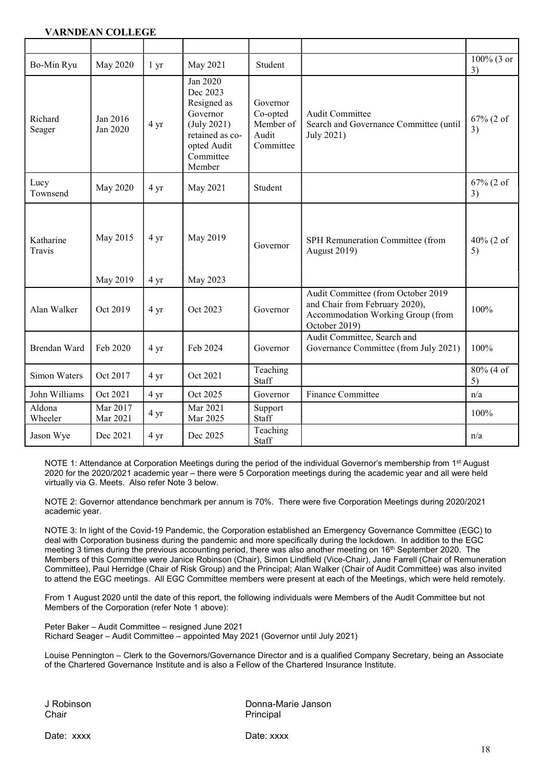| Bo-Min Ryu          | May 2020             | 1 <sub>yr</sub>        | May 2021                                                                                                                | Student                                                 |                                                                                                                            | 100% (3 or<br>3) |
|---------------------|----------------------|------------------------|-------------------------------------------------------------------------------------------------------------------------|---------------------------------------------------------|----------------------------------------------------------------------------------------------------------------------------|------------------|
| Richard<br>Seager   | Jan 2016<br>Jan 2020 | 4 yr                   | Jan 2020<br>Dec 2023<br>Resigned as<br>Governor<br>(July 2021)<br>retained as co-<br>opted Audit<br>Committee<br>Member | Governor<br>Co-opted<br>Member of<br>Audit<br>Committee | <b>Audit Committee</b><br>Search and Governance Committee (until<br>July 2021)                                             | 67% (2 of<br>3)  |
| Lucy<br>Townsend    | May 2020             | 4 yr                   | May 2021                                                                                                                | Student                                                 |                                                                                                                            | 67% (2 of<br>3)  |
| Katharine<br>Travis | May 2015<br>May 2019 | 4 yr<br>$4 \text{ yr}$ | May 2019<br>May 2023                                                                                                    | Governor                                                | SPH Remuneration Committee (from<br>August 2019)                                                                           | 40% (2 of<br>5)  |
| Alan Walker         | Oct 2019             | 4 yr                   | Oct 2023                                                                                                                | Governor                                                | Audit Committee (from October 2019<br>and Chair from February 2020),<br>Accommodation Working Group (from<br>October 2019) | 100%             |
| Brendan Ward        | Feb 2020             | $4 \text{ yr}$         | Feb 2024                                                                                                                | Governor                                                | Audit Committee, Search and<br>Governance Committee (from July 2021)                                                       | 100%             |
| Simon Waters        | Oct 2017             | 4 yr                   | Oct 2021                                                                                                                | Teaching<br>Staff                                       |                                                                                                                            | 80% (4 of<br>5)  |
| John Williams       | Oct 2021             | 4 yr                   | Oct 2025                                                                                                                | Governor                                                | Finance Committee                                                                                                          | n/a              |
| Aldona<br>Wheeler   | Mar 2017<br>Mar 2021 | 4 yr                   | Mar 2021<br>Mar 2025                                                                                                    | Support<br>Staff                                        |                                                                                                                            | 100%             |
| Jason Wye           | Dec 2021             | 4 yr                   | Dec 2025                                                                                                                | Teaching<br>Staff                                       |                                                                                                                            | n/a              |

NOTE 1: Attendance at Corporation Meetings during the period of the individual Governor's membership from 1<sup>st</sup> August 2020 for the 2020/2021 academic year – there were 5 Corporation meetings during the academic year and all were held virtually via G. Meets. Also refer Note 3 below.

NOTE 2: Governor attendance benchmark per annum is 70%. There were five Corporation Meetings during 2020/2021 academic year.

NOTE 3: In light of the Covid-19 Pandemic, the Corporation established an Emergency Governance Committee (EGC) to deal with Corporation business during the pandemic and more specifically during the lockdown. In addition to the EGC meeting 3 times during the previous accounting period, there was also another meeting on 16<sup>th</sup> September 2020. The Members of this Committee were Janice Robinson (Chair), Simon Lindfield (Vice-Chair), Jane Farrell (Chair of Remuneration Committee), Paul Herridge (Chair of Risk Group) and the Principal; Alan Walker (Chair of Audit Committee) was also invited to attend the EGC meetings. All EGC Committee members were present at each of the Meetings, which were held remotely.

From 1 August 2020 until the date of this report, the following individuals were Members of the Audit Committee but not Members of the Corporation (refer Note 1 above):

Peter Baker – Audit Committee – resigned June 2021 Richard Seager – Audit Committee – appointed May 2021 (Governor until July 2021)

Louise Pennington – Clerk to the Governors/Governance Director and is a qualified Company Secretary, being an Associate of the Chartered Governance Institute and is also a Fellow of the Chartered Insurance Institute.

J Robinson Donna-Marie Janson Principal

Date: xxxx Date: xxxx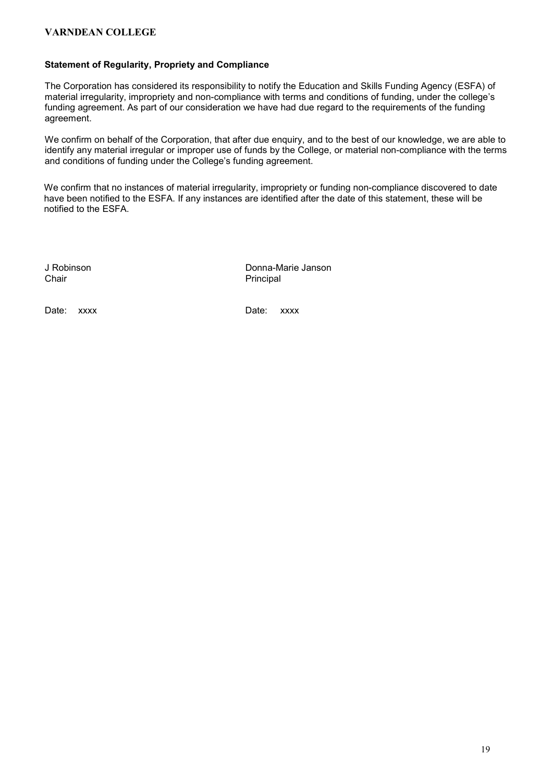#### Statement of Regularity, Propriety and Compliance

The Corporation has considered its responsibility to notify the Education and Skills Funding Agency (ESFA) of material irregularity, impropriety and non-compliance with terms and conditions of funding, under the college's funding agreement. As part of our consideration we have had due regard to the requirements of the funding agreement.

We confirm on behalf of the Corporation, that after due enquiry, and to the best of our knowledge, we are able to identify any material irregular or improper use of funds by the College, or material non-compliance with the terms and conditions of funding under the College's funding agreement.

We confirm that no instances of material irregularity, impropriety or funding non-compliance discovered to date have been notified to the ESFA. If any instances are identified after the date of this statement, these will be notified to the ESFA.

Chair **Principal** 

J Robinson **Donna-Marie Janson** 

Date: xxxx Date: xxxx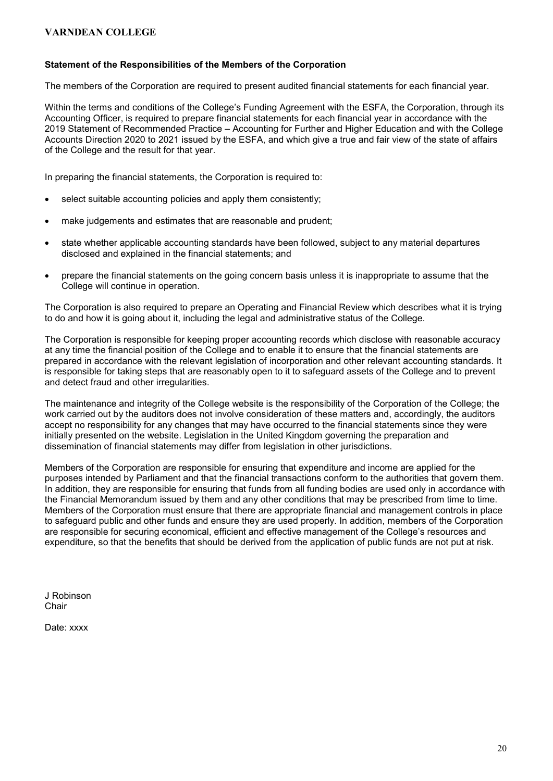### Statement of the Responsibilities of the Members of the Corporation

The members of the Corporation are required to present audited financial statements for each financial year.

Within the terms and conditions of the College's Funding Agreement with the ESFA, the Corporation, through its Accounting Officer, is required to prepare financial statements for each financial year in accordance with the 2019 Statement of Recommended Practice – Accounting for Further and Higher Education and with the College Accounts Direction 2020 to 2021 issued by the ESFA, and which give a true and fair view of the state of affairs of the College and the result for that year.

In preparing the financial statements, the Corporation is required to:

- select suitable accounting policies and apply them consistently;
- make judgements and estimates that are reasonable and prudent;
- state whether applicable accounting standards have been followed, subject to any material departures disclosed and explained in the financial statements; and
- prepare the financial statements on the going concern basis unless it is inappropriate to assume that the College will continue in operation.

The Corporation is also required to prepare an Operating and Financial Review which describes what it is trying to do and how it is going about it, including the legal and administrative status of the College.

The Corporation is responsible for keeping proper accounting records which disclose with reasonable accuracy at any time the financial position of the College and to enable it to ensure that the financial statements are prepared in accordance with the relevant legislation of incorporation and other relevant accounting standards. It is responsible for taking steps that are reasonably open to it to safeguard assets of the College and to prevent and detect fraud and other irregularities.

The maintenance and integrity of the College website is the responsibility of the Corporation of the College; the work carried out by the auditors does not involve consideration of these matters and, accordingly, the auditors accept no responsibility for any changes that may have occurred to the financial statements since they were initially presented on the website. Legislation in the United Kingdom governing the preparation and dissemination of financial statements may differ from legislation in other jurisdictions.

Members of the Corporation are responsible for ensuring that expenditure and income are applied for the purposes intended by Parliament and that the financial transactions conform to the authorities that govern them. In addition, they are responsible for ensuring that funds from all funding bodies are used only in accordance with the Financial Memorandum issued by them and any other conditions that may be prescribed from time to time. Members of the Corporation must ensure that there are appropriate financial and management controls in place to safeguard public and other funds and ensure they are used properly. In addition, members of the Corporation are responsible for securing economical, efficient and effective management of the College's resources and expenditure, so that the benefits that should be derived from the application of public funds are not put at risk.

J Robinson **Chair** 

Date: xxxx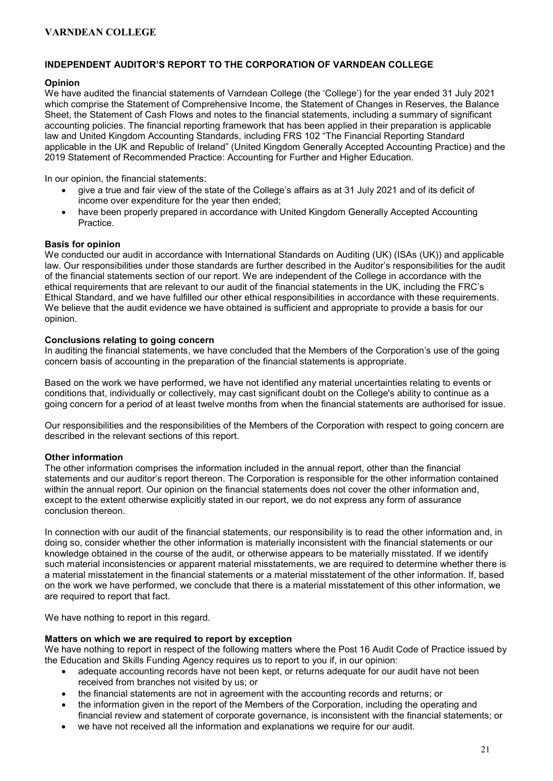### INDEPENDENT AUDITOR'S REPORT TO THE CORPORATION OF VARNDEAN COLLEGE

### **Opinion**

We have audited the financial statements of Varndean College (the 'College') for the year ended 31 July 2021 which comprise the Statement of Comprehensive Income, the Statement of Changes in Reserves, the Balance Sheet, the Statement of Cash Flows and notes to the financial statements, including a summary of significant accounting policies. The financial reporting framework that has been applied in their preparation is applicable law and United Kingdom Accounting Standards, including FRS 102 "The Financial Reporting Standard applicable in the UK and Republic of Ireland" (United Kingdom Generally Accepted Accounting Practice) and the 2019 Statement of Recommended Practice: Accounting for Further and Higher Education.

In our opinion, the financial statements:

- give a true and fair view of the state of the College's affairs as at 31 July 2021 and of its deficit of income over expenditure for the year then ended;
- have been properly prepared in accordance with United Kingdom Generally Accepted Accounting **Practice**

### Basis for opinion

We conducted our audit in accordance with International Standards on Auditing (UK) (ISAs (UK)) and applicable law. Our responsibilities under those standards are further described in the Auditor's responsibilities for the audit of the financial statements section of our report. We are independent of the College in accordance with the ethical requirements that are relevant to our audit of the financial statements in the UK, including the FRC's Ethical Standard, and we have fulfilled our other ethical responsibilities in accordance with these requirements. We believe that the audit evidence we have obtained is sufficient and appropriate to provide a basis for our opinion.

#### Conclusions relating to going concern

In auditing the financial statements, we have concluded that the Members of the Corporation's use of the going concern basis of accounting in the preparation of the financial statements is appropriate.

Based on the work we have performed, we have not identified any material uncertainties relating to events or conditions that, individually or collectively, may cast significant doubt on the College's ability to continue as a going concern for a period of at least twelve months from when the financial statements are authorised for issue.

Our responsibilities and the responsibilities of the Members of the Corporation with respect to going concern are described in the relevant sections of this report.

### Other information

The other information comprises the information included in the annual report, other than the financial statements and our auditor's report thereon. The Corporation is responsible for the other information contained within the annual report. Our opinion on the financial statements does not cover the other information and, except to the extent otherwise explicitly stated in our report, we do not express any form of assurance conclusion thereon.

In connection with our audit of the financial statements, our responsibility is to read the other information and, in doing so, consider whether the other information is materially inconsistent with the financial statements or our knowledge obtained in the course of the audit, or otherwise appears to be materially misstated. If we identify such material inconsistencies or apparent material misstatements, we are required to determine whether there is a material misstatement in the financial statements or a material misstatement of the other information. If, based on the work we have performed, we conclude that there is a material misstatement of this other information, we are required to report that fact.

We have nothing to report in this regard.

#### Matters on which we are required to report by exception

We have nothing to report in respect of the following matters where the Post 16 Audit Code of Practice issued by the Education and Skills Funding Agency requires us to report to you if, in our opinion:

- adequate accounting records have not been kept, or returns adequate for our audit have not been received from branches not visited by us; or
- the financial statements are not in agreement with the accounting records and returns; or
- the information given in the report of the Members of the Corporation, including the operating and financial review and statement of corporate governance, is inconsistent with the financial statements; or
- we have not received all the information and explanations we require for our audit.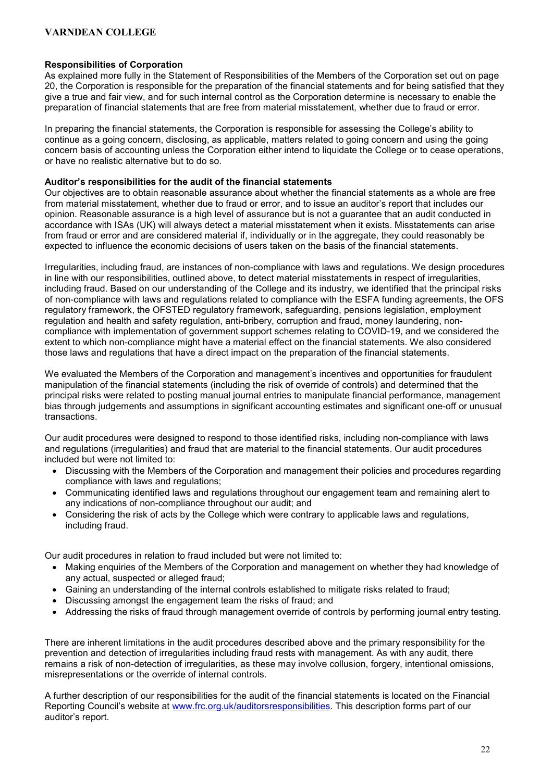### Responsibilities of Corporation

As explained more fully in the Statement of Responsibilities of the Members of the Corporation set out on page 20, the Corporation is responsible for the preparation of the financial statements and for being satisfied that they give a true and fair view, and for such internal control as the Corporation determine is necessary to enable the preparation of financial statements that are free from material misstatement, whether due to fraud or error.

In preparing the financial statements, the Corporation is responsible for assessing the College's ability to continue as a going concern, disclosing, as applicable, matters related to going concern and using the going concern basis of accounting unless the Corporation either intend to liquidate the College or to cease operations, or have no realistic alternative but to do so.

### Auditor's responsibilities for the audit of the financial statements

Our objectives are to obtain reasonable assurance about whether the financial statements as a whole are free from material misstatement, whether due to fraud or error, and to issue an auditor's report that includes our opinion. Reasonable assurance is a high level of assurance but is not a guarantee that an audit conducted in accordance with ISAs (UK) will always detect a material misstatement when it exists. Misstatements can arise from fraud or error and are considered material if, individually or in the aggregate, they could reasonably be expected to influence the economic decisions of users taken on the basis of the financial statements.

Irregularities, including fraud, are instances of non-compliance with laws and regulations. We design procedures in line with our responsibilities, outlined above, to detect material misstatements in respect of irregularities, including fraud. Based on our understanding of the College and its industry, we identified that the principal risks of non-compliance with laws and regulations related to compliance with the ESFA funding agreements, the OFS regulatory framework, the OFSTED regulatory framework, safeguarding, pensions legislation, employment regulation and health and safety regulation, anti-bribery, corruption and fraud, money laundering, noncompliance with implementation of government support schemes relating to COVID-19, and we considered the extent to which non-compliance might have a material effect on the financial statements. We also considered those laws and regulations that have a direct impact on the preparation of the financial statements.

We evaluated the Members of the Corporation and management's incentives and opportunities for fraudulent manipulation of the financial statements (including the risk of override of controls) and determined that the principal risks were related to posting manual journal entries to manipulate financial performance, management bias through judgements and assumptions in significant accounting estimates and significant one-off or unusual transactions.

Our audit procedures were designed to respond to those identified risks, including non-compliance with laws and regulations (irregularities) and fraud that are material to the financial statements. Our audit procedures included but were not limited to:

- Discussing with the Members of the Corporation and management their policies and procedures regarding compliance with laws and regulations;
- Communicating identified laws and regulations throughout our engagement team and remaining alert to any indications of non-compliance throughout our audit; and
- Considering the risk of acts by the College which were contrary to applicable laws and regulations, including fraud.

Our audit procedures in relation to fraud included but were not limited to:

- Making enguiries of the Members of the Corporation and management on whether they had knowledge of any actual, suspected or alleged fraud;
- Gaining an understanding of the internal controls established to mitigate risks related to fraud;
- Discussing amongst the engagement team the risks of fraud; and
- Addressing the risks of fraud through management override of controls by performing journal entry testing.

There are inherent limitations in the audit procedures described above and the primary responsibility for the prevention and detection of irregularities including fraud rests with management. As with any audit, there remains a risk of non-detection of irregularities, as these may involve collusion, forgery, intentional omissions, misrepresentations or the override of internal controls.

A further description of our responsibilities for the audit of the financial statements is located on the Financial Reporting Council's website at www.frc.org.uk/auditorsresponsibilities. This description forms part of our auditor's report.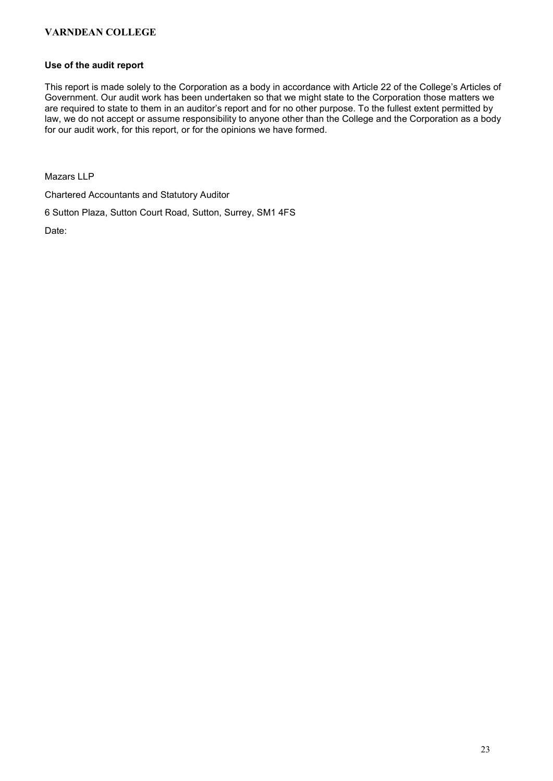### Use of the audit report

This report is made solely to the Corporation as a body in accordance with Article 22 of the College's Articles of Government. Our audit work has been undertaken so that we might state to the Corporation those matters we are required to state to them in an auditor's report and for no other purpose. To the fullest extent permitted by law, we do not accept or assume responsibility to anyone other than the College and the Corporation as a body for our audit work, for this report, or for the opinions we have formed.

Mazars LLP

Chartered Accountants and Statutory Auditor

6 Sutton Plaza, Sutton Court Road, Sutton, Surrey, SM1 4FS

Date: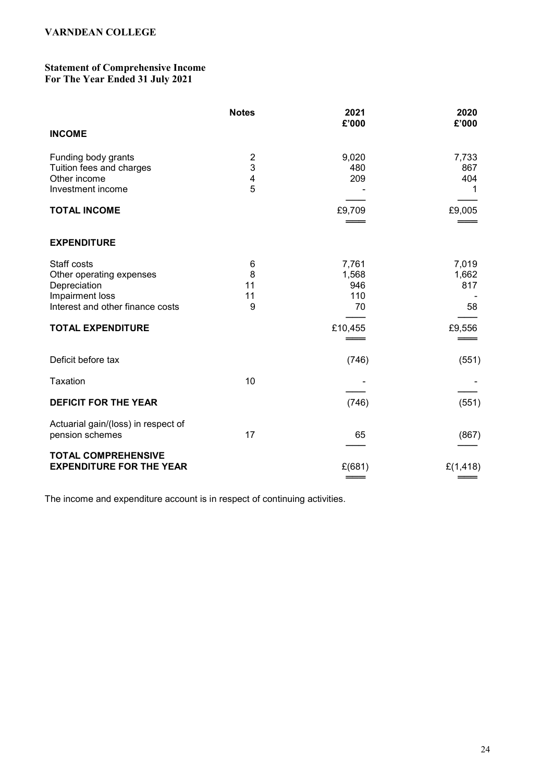### Statement of Comprehensive Income For The Year Ended 31 July 2021

|                                                                                                                                            | <b>Notes</b>            | 2021<br>£'000                                 | 2020<br>£'000                         |
|--------------------------------------------------------------------------------------------------------------------------------------------|-------------------------|-----------------------------------------------|---------------------------------------|
| <b>INCOME</b>                                                                                                                              |                         |                                               |                                       |
| Funding body grants<br>Tuition fees and charges<br>Other income<br>Investment income                                                       | 2<br>3<br>4<br>5        | 9,020<br>480<br>209                           | 7,733<br>867<br>404<br>1              |
| <b>TOTAL INCOME</b>                                                                                                                        |                         | £9,709                                        | £9,005                                |
| <b>EXPENDITURE</b>                                                                                                                         |                         |                                               |                                       |
| Staff costs<br>Other operating expenses<br>Depreciation<br>Impairment loss<br>Interest and other finance costs<br><b>TOTAL EXPENDITURE</b> | 6<br>8<br>11<br>11<br>9 | 7,761<br>1,568<br>946<br>110<br>70<br>£10,455 | 7,019<br>1,662<br>817<br>58<br>£9,556 |
|                                                                                                                                            |                         |                                               |                                       |
| Deficit before tax                                                                                                                         |                         | (746)                                         | (551)                                 |
| Taxation                                                                                                                                   | 10                      |                                               |                                       |
| <b>DEFICIT FOR THE YEAR</b>                                                                                                                |                         | (746)                                         | (551)                                 |
| Actuarial gain/(loss) in respect of<br>pension schemes                                                                                     | 17                      | 65                                            | (867)                                 |
| <b>TOTAL COMPREHENSIVE</b><br><b>EXPENDITURE FOR THE YEAR</b>                                                                              |                         | £(681)                                        | £(1,418)                              |

The income and expenditure account is in respect of continuing activities.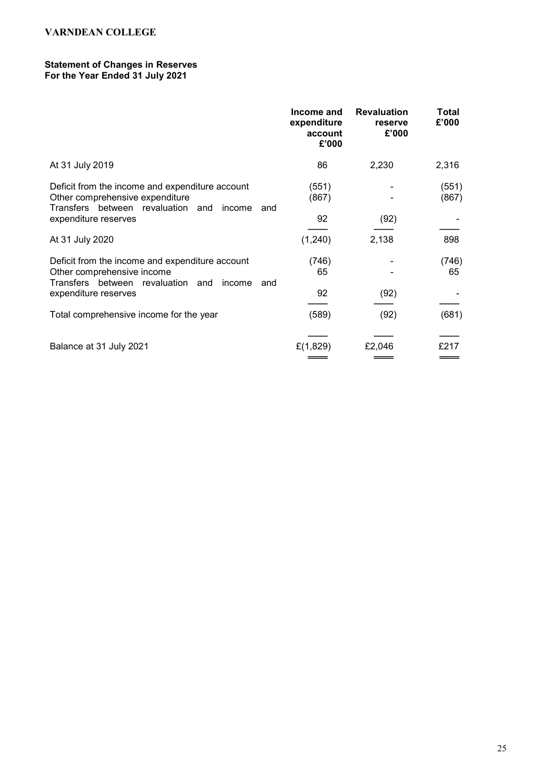### Statement of Changes in Reserves For the Year Ended 31 July 2021

|                                                                                                                                          | Income and<br>expenditure<br>account<br>£'000 | <b>Revaluation</b><br>reserve<br>£'000 | Total<br>£'000 |
|------------------------------------------------------------------------------------------------------------------------------------------|-----------------------------------------------|----------------------------------------|----------------|
| At 31 July 2019                                                                                                                          | 86                                            | 2,230                                  | 2,316          |
| Deficit from the income and expenditure account<br>Other comprehensive expenditure<br>Transfers between revaluation and<br>income<br>and | (551)<br>(867)                                |                                        | (551)<br>(867) |
| expenditure reserves                                                                                                                     | 92                                            | (92)                                   |                |
| At 31 July 2020                                                                                                                          | (1,240)                                       | 2,138                                  | 898            |
| Deficit from the income and expenditure account<br>Other comprehensive income<br>Transfers between revaluation and<br>income<br>and      | (746)<br>65                                   |                                        | (746)<br>65    |
| expenditure reserves                                                                                                                     | 92                                            | (92)                                   |                |
| Total comprehensive income for the year                                                                                                  | (589)                                         | (92)                                   | (681)          |
| Balance at 31 July 2021                                                                                                                  | £(1,829)                                      | £2,046                                 | £217           |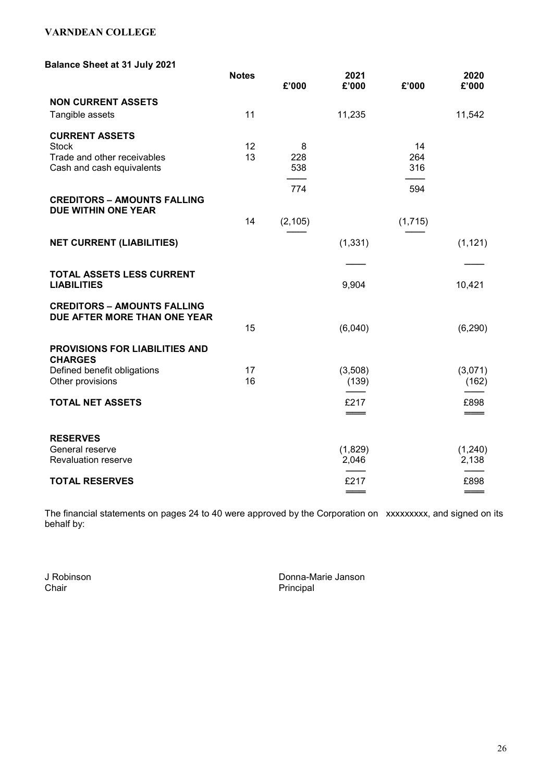### Balance Sheet at 31 July 2021

|                                                           | <b>Notes</b> | £'000    | 2021<br>£'000 | £'000     | 2020<br>£'000 |
|-----------------------------------------------------------|--------------|----------|---------------|-----------|---------------|
| <b>NON CURRENT ASSETS</b>                                 |              |          |               |           |               |
| Tangible assets                                           | 11           |          | 11,235        |           | 11,542        |
| <b>CURRENT ASSETS</b>                                     |              |          |               |           |               |
| <b>Stock</b><br>Trade and other receivables               | 12<br>13     | 8<br>228 |               | 14<br>264 |               |
| Cash and cash equivalents                                 |              | 538      |               | 316       |               |
|                                                           |              |          |               |           |               |
|                                                           |              | 774      |               | 594       |               |
| <b>CREDITORS - AMOUNTS FALLING</b><br>DUE WITHIN ONE YEAR |              |          |               |           |               |
|                                                           | 14           | (2, 105) |               | (1,715)   |               |
| <b>NET CURRENT (LIABILITIES)</b>                          |              |          | (1, 331)      |           | (1, 121)      |
|                                                           |              |          |               |           |               |
| TOTAL ASSETS LESS CURRENT<br><b>LIABILITIES</b>           |              |          | 9,904         |           | 10,421        |
| <b>CREDITORS - AMOUNTS FALLING</b>                        |              |          |               |           |               |
| DUE AFTER MORE THAN ONE YEAR                              |              |          |               |           |               |
|                                                           | 15           |          | (6,040)       |           | (6, 290)      |
| PROVISIONS FOR LIABILITIES AND<br><b>CHARGES</b>          |              |          |               |           |               |
| Defined benefit obligations                               | 17           |          | (3,508)       |           | (3,071)       |
| Other provisions                                          | 16           |          | (139)         |           | (162)         |
| <b>TOTAL NET ASSETS</b>                                   |              |          | £217          |           | £898          |
|                                                           |              |          |               |           |               |
| <b>RESERVES</b>                                           |              |          |               |           |               |
| General reserve                                           |              |          | (1,829)       |           | (1,240)       |
| <b>Revaluation reserve</b>                                |              |          | 2,046         |           | 2,138         |
| <b>TOTAL RESERVES</b>                                     |              |          | £217          |           | £898          |
|                                                           |              |          |               |           |               |

The financial statements on pages 24 to 40 were approved by the Corporation on xxxxxxxxx, and signed on its behalf by:

J Robinson Donna-Marie Janson Principal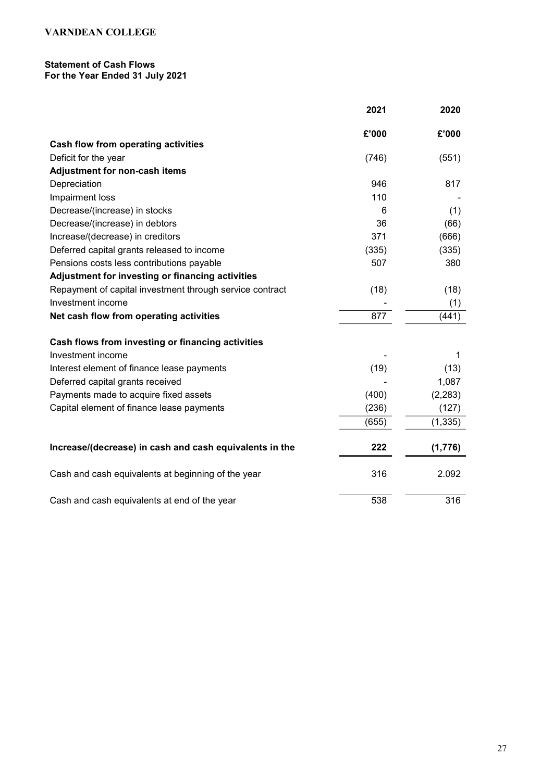## Statement of Cash Flows

For the Year Ended 31 July 2021

|                                                          | 2021  | 2020     |
|----------------------------------------------------------|-------|----------|
|                                                          | £'000 | £'000    |
| Cash flow from operating activities                      |       |          |
| Deficit for the year                                     | (746) | (551)    |
| <b>Adjustment for non-cash items</b>                     |       |          |
| Depreciation                                             | 946   | 817      |
| Impairment loss                                          | 110   |          |
| Decrease/(increase) in stocks                            | 6     | (1)      |
| Decrease/(increase) in debtors                           | 36    | (66)     |
| Increase/(decrease) in creditors                         | 371   | (666)    |
| Deferred capital grants released to income               | (335) | (335)    |
| Pensions costs less contributions payable                | 507   | 380      |
| Adjustment for investing or financing activities         |       |          |
| Repayment of capital investment through service contract | (18)  | (18)     |
| Investment income                                        |       | (1)      |
| Net cash flow from operating activities                  | 877   | (441)    |
| Cash flows from investing or financing activities        |       |          |
| Investment income                                        |       | 1        |
| Interest element of finance lease payments               | (19)  | (13)     |
| Deferred capital grants received                         |       | 1,087    |
| Payments made to acquire fixed assets                    | (400) | (2, 283) |
| Capital element of finance lease payments                | (236) | (127)    |
|                                                          | (655) | (1, 335) |
| Increase/(decrease) in cash and cash equivalents in the  | 222   | (1,776)  |
| Cash and cash equivalents at beginning of the year       | 316   | 2.092    |
| Cash and cash equivalents at end of the year             | 538   | 316      |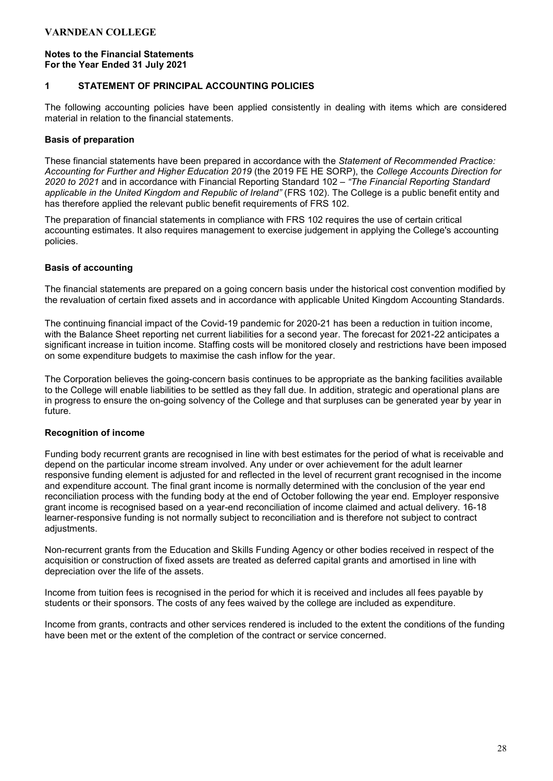### Notes to the Financial Statements For the Year Ended 31 July 2021

### 1 STATEMENT OF PRINCIPAL ACCOUNTING POLICIES

The following accounting policies have been applied consistently in dealing with items which are considered material in relation to the financial statements.

### Basis of preparation

These financial statements have been prepared in accordance with the Statement of Recommended Practice: Accounting for Further and Higher Education 2019 (the 2019 FE HE SORP), the College Accounts Direction for 2020 to 2021 and in accordance with Financial Reporting Standard 102 - "The Financial Reporting Standard applicable in the United Kingdom and Republic of Ireland" (FRS 102). The College is a public benefit entity and has therefore applied the relevant public benefit requirements of FRS 102.

The preparation of financial statements in compliance with FRS 102 requires the use of certain critical accounting estimates. It also requires management to exercise judgement in applying the College's accounting policies.

### Basis of accounting

The financial statements are prepared on a going concern basis under the historical cost convention modified by the revaluation of certain fixed assets and in accordance with applicable United Kingdom Accounting Standards.

The continuing financial impact of the Covid-19 pandemic for 2020-21 has been a reduction in tuition income, with the Balance Sheet reporting net current liabilities for a second year. The forecast for 2021-22 anticipates a significant increase in tuition income. Staffing costs will be monitored closely and restrictions have been imposed on some expenditure budgets to maximise the cash inflow for the year.

The Corporation believes the going-concern basis continues to be appropriate as the banking facilities available to the College will enable liabilities to be settled as they fall due. In addition, strategic and operational plans are in progress to ensure the on-going solvency of the College and that surpluses can be generated year by year in future.

### Recognition of income

Funding body recurrent grants are recognised in line with best estimates for the period of what is receivable and depend on the particular income stream involved. Any under or over achievement for the adult learner responsive funding element is adjusted for and reflected in the level of recurrent grant recognised in the income and expenditure account. The final grant income is normally determined with the conclusion of the year end reconciliation process with the funding body at the end of October following the year end. Employer responsive grant income is recognised based on a year-end reconciliation of income claimed and actual delivery. 16-18 learner-responsive funding is not normally subject to reconciliation and is therefore not subject to contract adiustments.

Non-recurrent grants from the Education and Skills Funding Agency or other bodies received in respect of the acquisition or construction of fixed assets are treated as deferred capital grants and amortised in line with depreciation over the life of the assets.

Income from tuition fees is recognised in the period for which it is received and includes all fees payable by students or their sponsors. The costs of any fees waived by the college are included as expenditure.

Income from grants, contracts and other services rendered is included to the extent the conditions of the funding have been met or the extent of the completion of the contract or service concerned.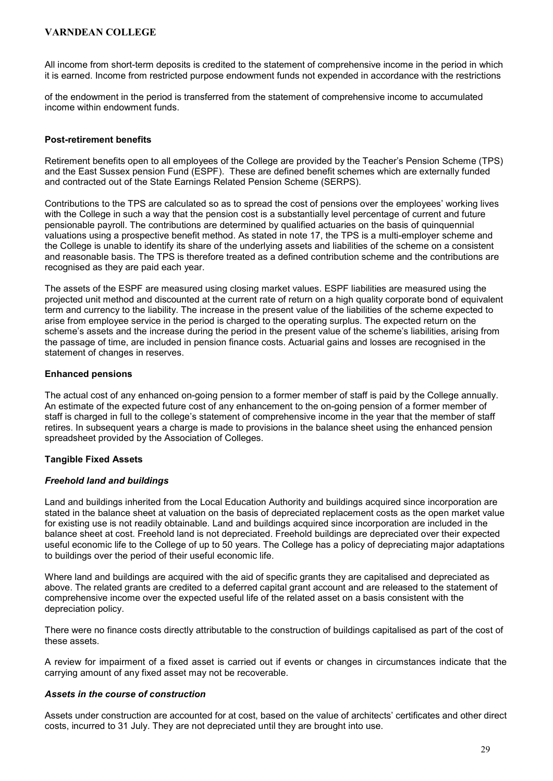All income from short-term deposits is credited to the statement of comprehensive income in the period in which it is earned. Income from restricted purpose endowment funds not expended in accordance with the restrictions

of the endowment in the period is transferred from the statement of comprehensive income to accumulated income within endowment funds.

#### Post-retirement benefits

Retirement benefits open to all employees of the College are provided by the Teacher's Pension Scheme (TPS) and the East Sussex pension Fund (ESPF). These are defined benefit schemes which are externally funded and contracted out of the State Earnings Related Pension Scheme (SERPS).

Contributions to the TPS are calculated so as to spread the cost of pensions over the employees' working lives with the College in such a way that the pension cost is a substantially level percentage of current and future pensionable payroll. The contributions are determined by qualified actuaries on the basis of quinquennial valuations using a prospective benefit method. As stated in note 17, the TPS is a multi-employer scheme and the College is unable to identify its share of the underlying assets and liabilities of the scheme on a consistent and reasonable basis. The TPS is therefore treated as a defined contribution scheme and the contributions are recognised as they are paid each year.

The assets of the ESPF are measured using closing market values. ESPF liabilities are measured using the projected unit method and discounted at the current rate of return on a high quality corporate bond of equivalent term and currency to the liability. The increase in the present value of the liabilities of the scheme expected to arise from employee service in the period is charged to the operating surplus. The expected return on the scheme's assets and the increase during the period in the present value of the scheme's liabilities, arising from the passage of time, are included in pension finance costs. Actuarial gains and losses are recognised in the statement of changes in reserves.

### Enhanced pensions

The actual cost of any enhanced on-going pension to a former member of staff is paid by the College annually. An estimate of the expected future cost of any enhancement to the on-going pension of a former member of staff is charged in full to the college's statement of comprehensive income in the year that the member of staff retires. In subsequent years a charge is made to provisions in the balance sheet using the enhanced pension spreadsheet provided by the Association of Colleges.

### Tangible Fixed Assets

#### Freehold land and buildings

Land and buildings inherited from the Local Education Authority and buildings acquired since incorporation are stated in the balance sheet at valuation on the basis of depreciated replacement costs as the open market value for existing use is not readily obtainable. Land and buildings acquired since incorporation are included in the balance sheet at cost. Freehold land is not depreciated. Freehold buildings are depreciated over their expected useful economic life to the College of up to 50 years. The College has a policy of depreciating major adaptations to buildings over the period of their useful economic life.

Where land and buildings are acquired with the aid of specific grants they are capitalised and depreciated as above. The related grants are credited to a deferred capital grant account and are released to the statement of comprehensive income over the expected useful life of the related asset on a basis consistent with the depreciation policy.

There were no finance costs directly attributable to the construction of buildings capitalised as part of the cost of these assets.

A review for impairment of a fixed asset is carried out if events or changes in circumstances indicate that the carrying amount of any fixed asset may not be recoverable.

### Assets in the course of construction

Assets under construction are accounted for at cost, based on the value of architects' certificates and other direct costs, incurred to 31 July. They are not depreciated until they are brought into use.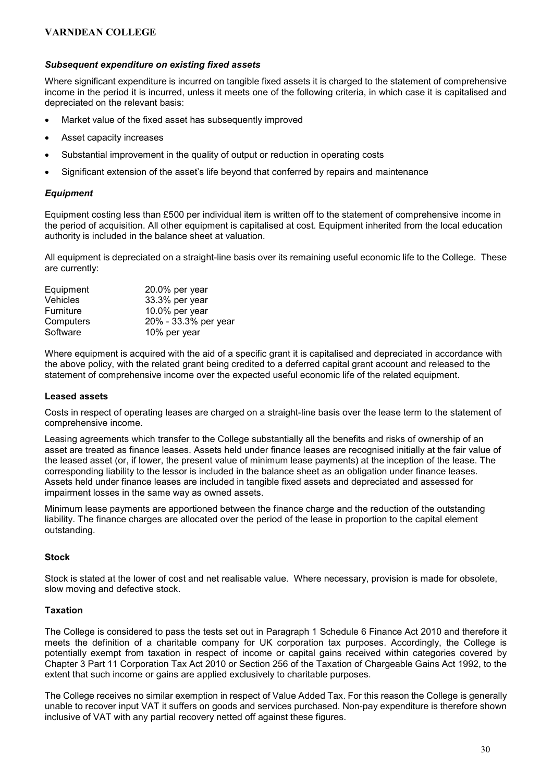### Subsequent expenditure on existing fixed assets

Where significant expenditure is incurred on tangible fixed assets it is charged to the statement of comprehensive income in the period it is incurred, unless it meets one of the following criteria, in which case it is capitalised and depreciated on the relevant basis:

- Market value of the fixed asset has subsequently improved
- Asset capacity increases
- Substantial improvement in the quality of output or reduction in operating costs
- Significant extension of the asset's life beyond that conferred by repairs and maintenance

### Equipment

Equipment costing less than £500 per individual item is written off to the statement of comprehensive income in the period of acquisition. All other equipment is capitalised at cost. Equipment inherited from the local education authority is included in the balance sheet at valuation.

All equipment is depreciated on a straight-line basis over its remaining useful economic life to the College. These are currently:

| Equipment        | 20.0% per year       |
|------------------|----------------------|
| Vehicles         | 33.3% per year       |
| <b>Furniture</b> | 10.0% per year       |
| Computers        | 20% - 33.3% per year |
| Software         | 10% per year         |

Where equipment is acquired with the aid of a specific grant it is capitalised and depreciated in accordance with the above policy, with the related grant being credited to a deferred capital grant account and released to the statement of comprehensive income over the expected useful economic life of the related equipment.

#### Leased assets

Costs in respect of operating leases are charged on a straight-line basis over the lease term to the statement of comprehensive income.

Leasing agreements which transfer to the College substantially all the benefits and risks of ownership of an asset are treated as finance leases. Assets held under finance leases are recognised initially at the fair value of the leased asset (or, if lower, the present value of minimum lease payments) at the inception of the lease. The corresponding liability to the lessor is included in the balance sheet as an obligation under finance leases. Assets held under finance leases are included in tangible fixed assets and depreciated and assessed for impairment losses in the same way as owned assets.

Minimum lease payments are apportioned between the finance charge and the reduction of the outstanding liability. The finance charges are allocated over the period of the lease in proportion to the capital element outstanding.

#### **Stock**

Stock is stated at the lower of cost and net realisable value. Where necessary, provision is made for obsolete, slow moving and defective stock.

#### Taxation

The College is considered to pass the tests set out in Paragraph 1 Schedule 6 Finance Act 2010 and therefore it meets the definition of a charitable company for UK corporation tax purposes. Accordingly, the College is potentially exempt from taxation in respect of income or capital gains received within categories covered by Chapter 3 Part 11 Corporation Tax Act 2010 or Section 256 of the Taxation of Chargeable Gains Act 1992, to the extent that such income or gains are applied exclusively to charitable purposes.

The College receives no similar exemption in respect of Value Added Tax. For this reason the College is generally unable to recover input VAT it suffers on goods and services purchased. Non-pay expenditure is therefore shown inclusive of VAT with any partial recovery netted off against these figures.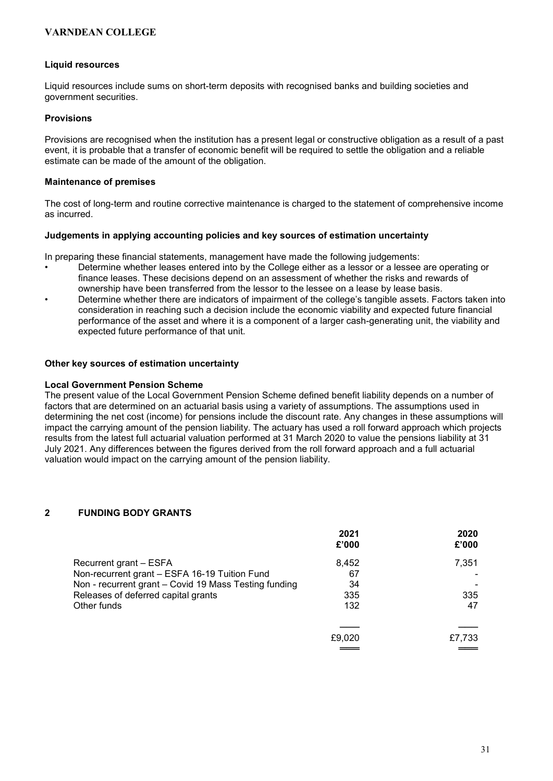### Liquid resources

Liquid resources include sums on short-term deposits with recognised banks and building societies and government securities.

### Provisions

Provisions are recognised when the institution has a present legal or constructive obligation as a result of a past event, it is probable that a transfer of economic benefit will be required to settle the obligation and a reliable estimate can be made of the amount of the obligation.

### Maintenance of premises

The cost of long-term and routine corrective maintenance is charged to the statement of comprehensive income as incurred.

### Judgements in applying accounting policies and key sources of estimation uncertainty

In preparing these financial statements, management have made the following judgements:

- Determine whether leases entered into by the College either as a lessor or a lessee are operating or finance leases. These decisions depend on an assessment of whether the risks and rewards of ownership have been transferred from the lessor to the lessee on a lease by lease basis.
- Determine whether there are indicators of impairment of the college's tangible assets. Factors taken into consideration in reaching such a decision include the economic viability and expected future financial performance of the asset and where it is a component of a larger cash-generating unit, the viability and expected future performance of that unit.

### Other key sources of estimation uncertainty

#### Local Government Pension Scheme

The present value of the Local Government Pension Scheme defined benefit liability depends on a number of factors that are determined on an actuarial basis using a variety of assumptions. The assumptions used in determining the net cost (income) for pensions include the discount rate. Any changes in these assumptions will impact the carrying amount of the pension liability. The actuary has used a roll forward approach which projects results from the latest full actuarial valuation performed at 31 March 2020 to value the pensions liability at 31 July 2021. Any differences between the figures derived from the roll forward approach and a full actuarial valuation would impact on the carrying amount of the pension liability.

### 2 FUNDING BODY GRANTS

|                                                       | 2021<br>£'000 | 2020<br>£'000 |
|-------------------------------------------------------|---------------|---------------|
| Recurrent grant - ESFA                                | 8.452         | 7,351         |
| Non-recurrent grant - ESFA 16-19 Tuition Fund         | 67            |               |
| Non - recurrent grant - Covid 19 Mass Testing funding | 34            |               |
| Releases of deferred capital grants                   | 335           | 335           |
| Other funds                                           | 132           | 47            |
|                                                       |               |               |
|                                                       | £9,020        | £7,733        |
|                                                       |               |               |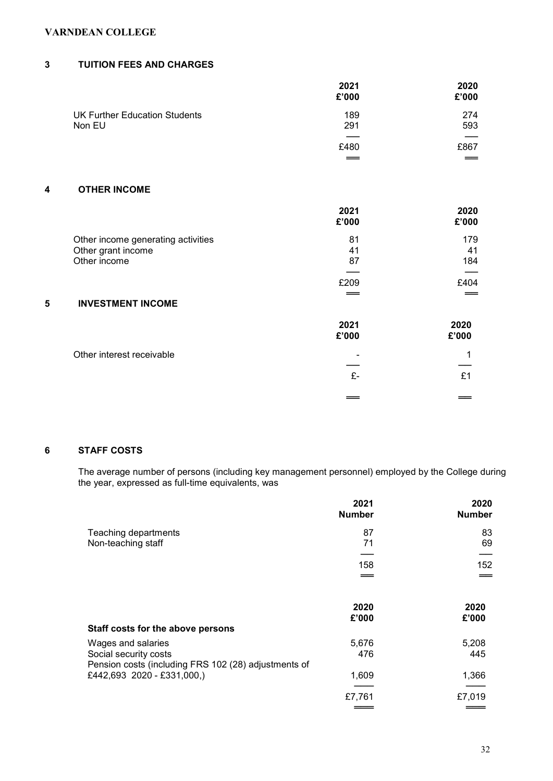### 3 TUITION FEES AND CHARGES

| 2021<br>£'000 | 2020<br>£'000 |
|---------------|---------------|
| 189           | 274           |
|               | 593           |
| $=$           | £867          |
|               | 291<br>£480   |

### 4 OTHER INCOME

|                                    | 2021<br>£'000 | 2020<br>£'000 |
|------------------------------------|---------------|---------------|
| Other income generating activities | 81            | 179           |
| Other grant income                 | 41            | 41            |
| Other income                       | 87            | 184           |
|                                    |               |               |
|                                    | £209          | £404          |
|                                    |               |               |
| 5<br><b>INVESTMENT INCOME</b>      |               |               |
|                                    | 2021<br>£'000 | 2020<br>£'000 |
| Other interest receivable          |               |               |
|                                    |               |               |
|                                    | £-            | £1            |
|                                    |               |               |

### 6 STAFF COSTS

The average number of persons (including key management personnel) employed by the College during the year, expressed as full-time equivalents, was

|                                                                               | 2021<br><b>Number</b> | 2020<br><b>Number</b> |
|-------------------------------------------------------------------------------|-----------------------|-----------------------|
| Teaching departments                                                          | 87                    | 83                    |
| Non-teaching staff                                                            | 71                    | 69                    |
|                                                                               |                       |                       |
|                                                                               | 158                   | 152                   |
|                                                                               |                       |                       |
|                                                                               | 2020<br>£'000         | 2020<br>£'000         |
| Staff costs for the above persons                                             |                       |                       |
| Wages and salaries                                                            | 5,676                 | 5,208                 |
| Social security costs<br>Pension costs (including FRS 102 (28) adjustments of | 476                   | 445                   |
| £442,693 2020 - £331,000,)                                                    | 1,609                 | 1,366                 |
|                                                                               | £7,761                | £7,019                |
|                                                                               |                       |                       |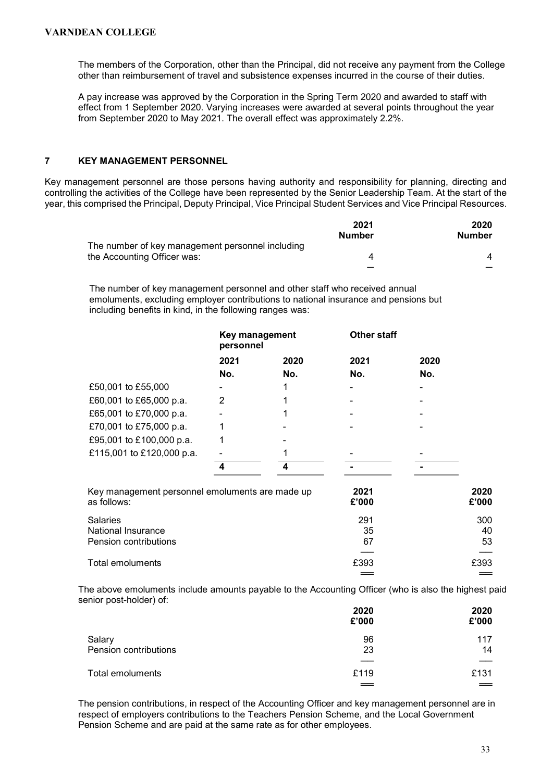The members of the Corporation, other than the Principal, did not receive any payment from the College other than reimbursement of travel and subsistence expenses incurred in the course of their duties.

A pay increase was approved by the Corporation in the Spring Term 2020 and awarded to staff with effect from 1 September 2020. Varying increases were awarded at several points throughout the year from September 2020 to May 2021. The overall effect was approximately 2.2%.

### 7 KEY MANAGEMENT PERSONNEL

Key management personnel are those persons having authority and responsibility for planning, directing and controlling the activities of the College have been represented by the Senior Leadership Team. At the start of the year, this comprised the Principal, Deputy Principal, Vice Principal Student Services and Vice Principal Resources.

|                                                  | 2021          | 2020   |
|--------------------------------------------------|---------------|--------|
|                                                  | <b>Number</b> | Number |
| The number of key management personnel including |               |        |
| the Accounting Officer was:                      |               |        |
|                                                  |               |        |

The number of key management personnel and other staff who received annual emoluments, excluding employer contributions to national insurance and pensions but including benefits in kind, in the following ranges was:

|                                                                | Key management<br>personnel |      | <b>Other staff</b> |      |               |
|----------------------------------------------------------------|-----------------------------|------|--------------------|------|---------------|
|                                                                | 2021                        | 2020 | 2021               | 2020 |               |
|                                                                | No.                         | No.  | No.                | No.  |               |
| £50,001 to £55,000                                             |                             | 1    |                    |      |               |
| £60,001 to £65,000 p.a.                                        | 2                           | 1    |                    |      |               |
| £65,001 to £70,000 p.a.                                        |                             | 1    |                    |      |               |
| £70,001 to £75,000 p.a.                                        |                             |      |                    |      |               |
| £95,001 to £100,000 p.a.                                       |                             |      |                    |      |               |
| £115,001 to £120,000 p.a.                                      |                             |      |                    |      |               |
|                                                                | 4                           | 4    |                    |      |               |
| Key management personnel emoluments are made up<br>as follows: |                             |      | 2021<br>£'000      |      | 2020<br>£'000 |
| Salaries                                                       |                             |      | 291                |      | 300           |
| National Insurance                                             |                             |      | 35                 |      | 40            |
| Pension contributions                                          |                             |      | 67                 |      | 53            |
| Total emoluments                                               |                             |      | £393               |      | £393          |
|                                                                |                             |      |                    |      |               |

The above emoluments include amounts payable to the Accounting Officer (who is also the highest paid senior post-holder) of:

|                       | 2020<br>£'000 | 2020<br>£'000 |
|-----------------------|---------------|---------------|
| Salary                | 96            | 117           |
| Pension contributions | 23            | 14            |
|                       |               |               |
| Total emoluments      | £119          | £131          |
|                       |               | ==            |

The pension contributions, in respect of the Accounting Officer and key management personnel are in respect of employers contributions to the Teachers Pension Scheme, and the Local Government Pension Scheme and are paid at the same rate as for other employees.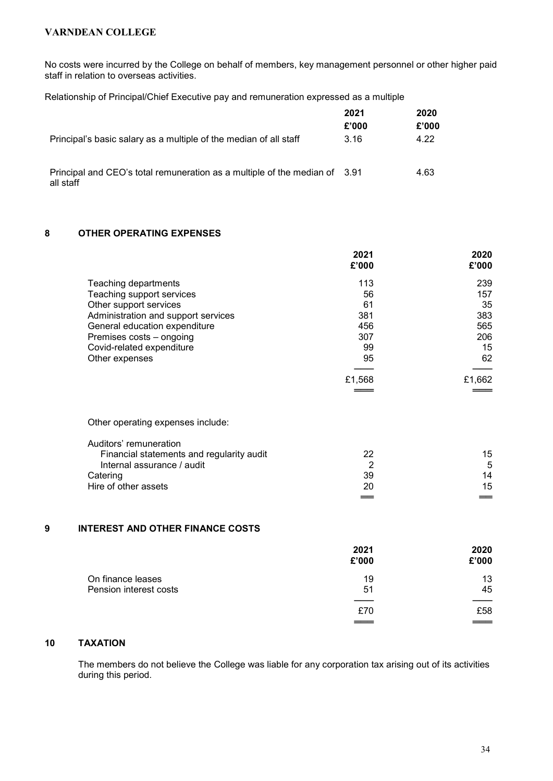No costs were incurred by the College on behalf of members, key management personnel or other higher paid staff in relation to overseas activities.

Relationship of Principal/Chief Executive pay and remuneration expressed as a multiple

|                                                                                         | 2021  | 2020  |
|-----------------------------------------------------------------------------------------|-------|-------|
|                                                                                         | £'000 | £'000 |
| Principal's basic salary as a multiple of the median of all staff                       | 3.16  | 4.22  |
| Principal and CEO's total remuneration as a multiple of the median of 3.91<br>all staff |       | 4.63  |

### 8 OTHER OPERATING EXPENSES

|   |                                           | 2021<br>£'000  | 2020<br>£'000 |
|---|-------------------------------------------|----------------|---------------|
|   | Teaching departments                      | 113            | 239           |
|   | Teaching support services                 | 56             | 157           |
|   | Other support services                    | 61             | 35            |
|   | Administration and support services       | 381            | 383           |
|   | General education expenditure             | 456            | 565           |
|   | Premises costs - ongoing                  | 307            | 206           |
|   | Covid-related expenditure                 | 99             | 15            |
|   | Other expenses                            | 95             | 62            |
|   |                                           | £1,568         | £1,662        |
|   |                                           |                |               |
|   | Other operating expenses include:         |                |               |
|   | Auditors' remuneration                    |                |               |
|   | Financial statements and regularity audit | 22             | 15            |
|   | Internal assurance / audit                | $\overline{2}$ | 5             |
|   | Catering                                  | 39             | 14            |
|   | Hire of other assets                      | 20             | 15            |
|   |                                           |                |               |
| 9 | <b>INTEREST AND OTHER FINANCE COSTS</b>   |                |               |
|   |                                           | 2021           | 2020          |
|   |                                           | £'000          | £'000         |
|   | On finance leases                         | 19             | 13            |
|   | Pension interest costs                    | 51             | 45            |
|   |                                           | £70            | £58           |
|   |                                           |                |               |
|   |                                           |                |               |

### 10 TAXATION

The members do not believe the College was liable for any corporation tax arising out of its activities during this period.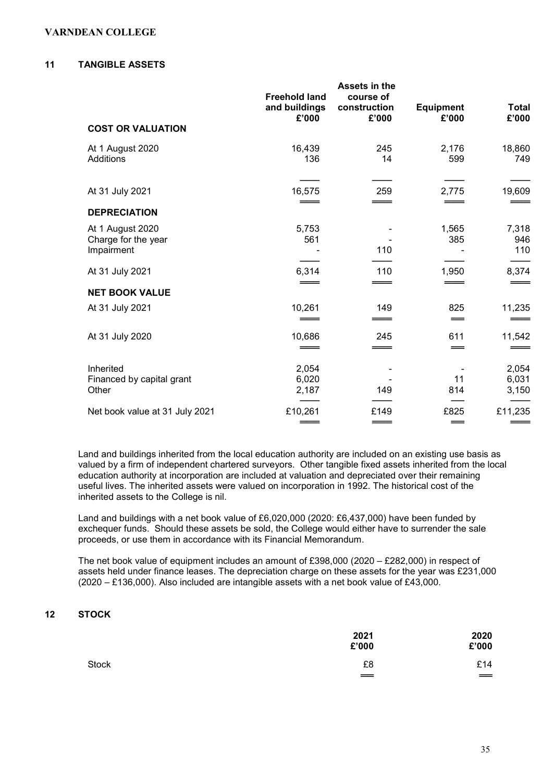#### 11 TANGIBLE ASSETS

|                                                       | <b>Freehold land</b><br>and buildings<br>£'000 | Assets in the<br>course of<br>construction<br>£'000 | <b>Equipment</b><br>£'000 | <b>Total</b><br>£'000   |
|-------------------------------------------------------|------------------------------------------------|-----------------------------------------------------|---------------------------|-------------------------|
| <b>COST OR VALUATION</b>                              |                                                |                                                     |                           |                         |
| At 1 August 2020<br>Additions                         | 16,439<br>136                                  | 245<br>14                                           | 2,176<br>599              | 18,860<br>749           |
| At 31 July 2021                                       | 16,575                                         | 259                                                 | 2,775                     | 19,609                  |
| <b>DEPRECIATION</b>                                   |                                                |                                                     |                           |                         |
| At 1 August 2020<br>Charge for the year<br>Impairment | 5,753<br>561                                   | 110                                                 | 1,565<br>385              | 7,318<br>946<br>110     |
| At 31 July 2021                                       | 6,314                                          | 110<br>___                                          | 1,950<br>$\equiv$         | 8,374                   |
| <b>NET BOOK VALUE</b>                                 |                                                |                                                     |                           |                         |
| At 31 July 2021                                       | 10,261                                         | 149                                                 | 825<br>$=$                | 11,235                  |
| At 31 July 2020                                       | 10,686                                         | 245<br>___                                          | 611<br>$=$                | 11,542                  |
| Inherited<br>Financed by capital grant<br>Other       | 2,054<br>6,020<br>2,187                        | 149                                                 | 11<br>814                 | 2,054<br>6,031<br>3,150 |
| Net book value at 31 July 2021                        | £10,261                                        | £149                                                | £825<br>==                | £11,235                 |

Land and buildings inherited from the local education authority are included on an existing use basis as valued by a firm of independent chartered surveyors. Other tangible fixed assets inherited from the local education authority at incorporation are included at valuation and depreciated over their remaining useful lives. The inherited assets were valued on incorporation in 1992. The historical cost of the inherited assets to the College is nil.

Land and buildings with a net book value of £6,020,000 (2020: £6,437,000) have been funded by exchequer funds. Should these assets be sold, the College would either have to surrender the sale proceeds, or use them in accordance with its Financial Memorandum.

The net book value of equipment includes an amount of £398,000 (2020 – £282,000) in respect of assets held under finance leases. The depreciation charge on these assets for the year was £231,000 (2020 – £136,000). Also included are intangible assets with a net book value of £43,000.

### 12 STOCK

|       | 2021<br>£'000                         | 2020<br>£'000                          |
|-------|---------------------------------------|----------------------------------------|
| Stock | £8<br>$\qquad \qquad = \qquad \qquad$ | £14<br>$\qquad \qquad = \qquad \qquad$ |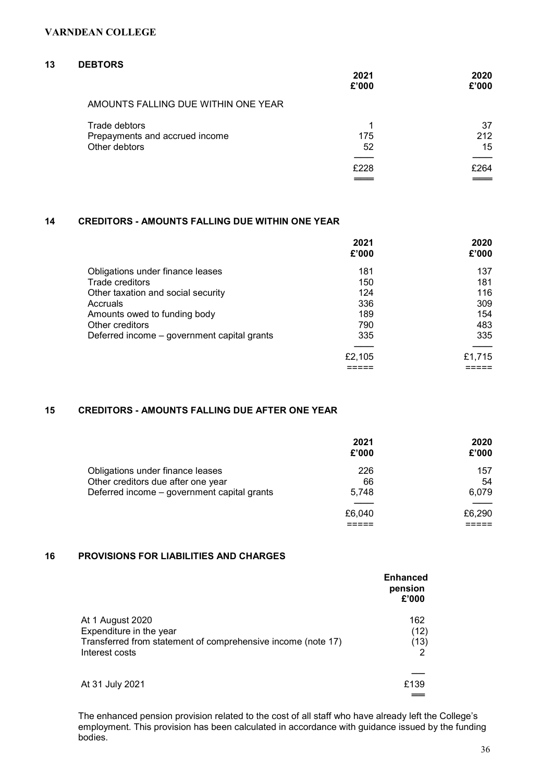### 13 DEBTORS

|                                     | 2021<br>£'000 | 2020<br>£'000 |
|-------------------------------------|---------------|---------------|
| AMOUNTS FALLING DUE WITHIN ONE YEAR |               |               |
| Trade debtors                       |               | 37            |
| Prepayments and accrued income      | 175           | 212           |
| Other debtors                       | 52            | 15            |
|                                     | £228          | £264          |
|                                     |               |               |

### 14 CREDITORS - AMOUNTS FALLING DUE WITHIN ONE YEAR

|                                             | 2021<br>£'000 | 2020<br>£'000 |
|---------------------------------------------|---------------|---------------|
| Obligations under finance leases            | 181           | 137           |
| Trade creditors                             | 150           | 181           |
| Other taxation and social security          | 124           | 116           |
| Accruals                                    | 336           | 309           |
| Amounts owed to funding body                | 189           | 154           |
| Other creditors                             | 790           | 483           |
| Deferred income – government capital grants | 335           | 335           |
|                                             | £2,105        | £1,715        |
|                                             |               |               |

### 15 CREDITORS - AMOUNTS FALLING DUE AFTER ONE YEAR

|                                                                                                                       | 2021<br>£'000      | 2020<br>£'000      |
|-----------------------------------------------------------------------------------------------------------------------|--------------------|--------------------|
| Obligations under finance leases<br>Other creditors due after one year<br>Deferred income - government capital grants | 226<br>66<br>5.748 | 157<br>54<br>6,079 |
|                                                                                                                       | £6,040             | £6,290             |

### 16 PROVISIONS FOR LIABILITIES AND CHARGES

|                                                                                | <b>Enhanced</b><br>pension<br>£'000 |
|--------------------------------------------------------------------------------|-------------------------------------|
| At 1 August 2020<br>Expenditure in the year                                    | 162<br>(12)                         |
| Transferred from statement of comprehensive income (note 17)<br>Interest costs | (13)                                |
|                                                                                |                                     |
| At 31 July 2021                                                                | £139                                |
|                                                                                |                                     |

The enhanced pension provision related to the cost of all staff who have already left the College's employment. This provision has been calculated in accordance with guidance issued by the funding bodies.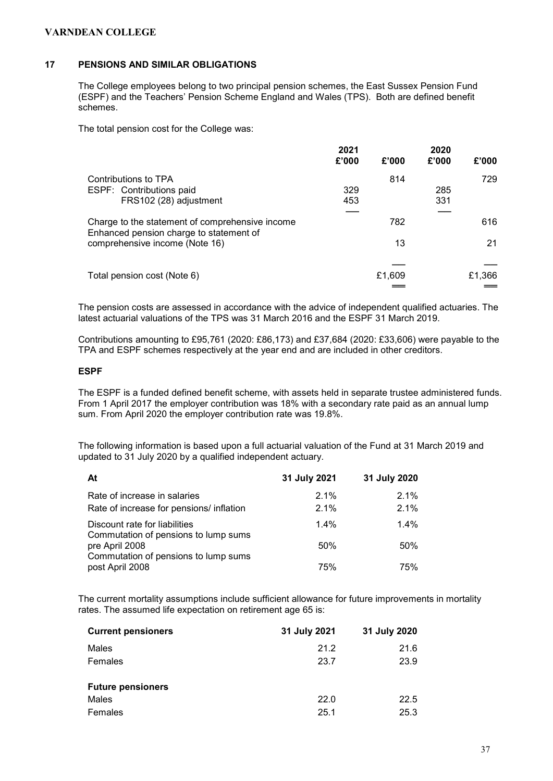### 17 PENSIONS AND SIMILAR OBLIGATIONS

The College employees belong to two principal pension schemes, the East Sussex Pension Fund (ESPF) and the Teachers' Pension Scheme England and Wales (TPS). Both are defined benefit schemes.

The total pension cost for the College was:

|                                                                                            | 2021<br>£'000 | £'000  | 2020<br>£'000 | £'000  |
|--------------------------------------------------------------------------------------------|---------------|--------|---------------|--------|
| Contributions to TPA<br>ESPF: Contributions paid<br>FRS102 (28) adjustment                 | 329<br>453    | 814    | 285<br>331    | 729    |
| Charge to the statement of comprehensive income<br>Enhanced pension charge to statement of |               | 782    |               | 616    |
| comprehensive income (Note 16)                                                             |               | 13     |               | 21     |
| Total pension cost (Note 6)                                                                |               | £1,609 |               | £1,366 |

The pension costs are assessed in accordance with the advice of independent qualified actuaries. The latest actuarial valuations of the TPS was 31 March 2016 and the ESPF 31 March 2019.

Contributions amounting to £95,761 (2020: £86,173) and £37,684 (2020: £33,606) were payable to the TPA and ESPF schemes respectively at the year end and are included in other creditors.

### ESPF

The ESPF is a funded defined benefit scheme, with assets held in separate trustee administered funds. From 1 April 2017 the employer contribution was 18% with a secondary rate paid as an annual lump sum. From April 2020 the employer contribution rate was 19.8%.

The following information is based upon a full actuarial valuation of the Fund at 31 March 2019 and updated to 31 July 2020 by a qualified independent actuary.

| At                                                                       | 31 July 2021       | 31 July 2020    |
|--------------------------------------------------------------------------|--------------------|-----------------|
| Rate of increase in salaries<br>Rate of increase for pensions/ inflation | $2.1\%$<br>$2.1\%$ | 2.1%<br>$2.1\%$ |
| Discount rate for liabilities<br>Commutation of pensions to lump sums    | $1.4\%$            | $1.4\%$         |
| pre April 2008<br>Commutation of pensions to lump sums                   | 50%                | 50%             |
| post April 2008                                                          | 75%                | 75%             |

The current mortality assumptions include sufficient allowance for future improvements in mortality rates. The assumed life expectation on retirement age 65 is:

| <b>Current pensioners</b> | 31 July 2021 | 31 July 2020 |
|---------------------------|--------------|--------------|
| Males                     | 21.2         | 21.6         |
| Females                   | 23.7         | 23.9         |
| <b>Future pensioners</b>  |              |              |
| Males                     | 22.0         | 22.5         |
| Females                   | 25.1         | 25.3         |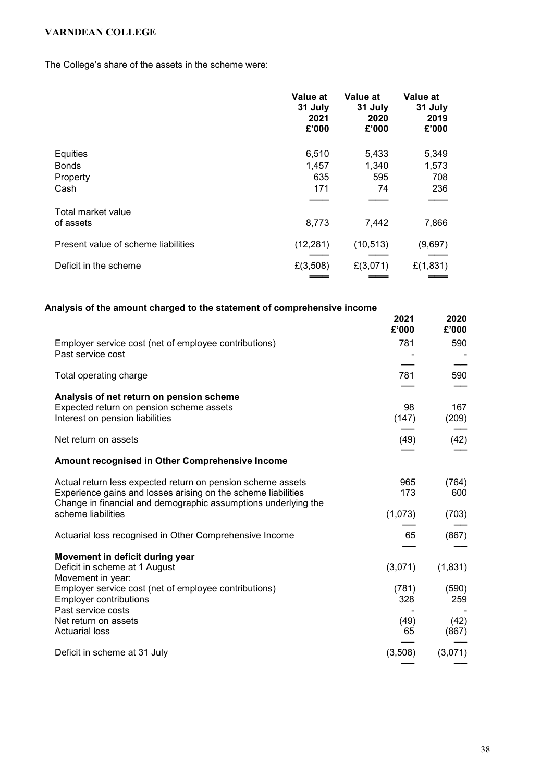The College's share of the assets in the scheme were:

|                                     | Value at<br>31 July<br>2021<br>£'000 | Value at<br>31 July<br>2020<br>£'000 | Value at<br>31 July<br>2019<br>£'000 |
|-------------------------------------|--------------------------------------|--------------------------------------|--------------------------------------|
| Equities                            | 6,510                                | 5,433                                | 5,349                                |
| <b>Bonds</b>                        | 1,457                                | 1,340                                | 1,573                                |
| Property                            | 635                                  | 595                                  | 708                                  |
| Cash                                | 171                                  | 74                                   | 236                                  |
|                                     |                                      |                                      |                                      |
| Total market value<br>of assets     | 8,773                                | 7,442                                | 7,866                                |
|                                     |                                      |                                      |                                      |
| Present value of scheme liabilities | (12, 281)                            | (10, 513)                            | (9,697)                              |
| Deficit in the scheme               | £(3,508)                             | £(3,071)                             | £(1,831)                             |
|                                     |                                      |                                      |                                      |

| Analysis of the amount charged to the statement of comprehensive income                                                                                                                        |               |               |
|------------------------------------------------------------------------------------------------------------------------------------------------------------------------------------------------|---------------|---------------|
|                                                                                                                                                                                                | 2021<br>£'000 | 2020<br>£'000 |
| Employer service cost (net of employee contributions)<br>Past service cost                                                                                                                     | 781           | 590           |
| Total operating charge                                                                                                                                                                         | 781           | 590           |
| Analysis of net return on pension scheme<br>Expected return on pension scheme assets<br>Interest on pension liabilities                                                                        | 98<br>(147)   | 167<br>(209)  |
| Net return on assets                                                                                                                                                                           | (49)          | (42)          |
| Amount recognised in Other Comprehensive Income                                                                                                                                                |               |               |
| Actual return less expected return on pension scheme assets<br>Experience gains and losses arising on the scheme liabilities<br>Change in financial and demographic assumptions underlying the | 965<br>173    | (764)<br>600  |
| scheme liabilities                                                                                                                                                                             | (1,073)       | (703)         |
| Actuarial loss recognised in Other Comprehensive Income                                                                                                                                        | 65            | (867)         |
| Movement in deficit during year<br>Deficit in scheme at 1 August<br>Movement in year:                                                                                                          | (3,071)       | (1,831)       |
| Employer service cost (net of employee contributions)<br><b>Employer contributions</b><br>Past service costs                                                                                   | (781)<br>328  | (590)<br>259  |
| Net return on assets<br><b>Actuarial loss</b>                                                                                                                                                  | (49)<br>65    | (42)<br>(867) |
| Deficit in scheme at 31 July                                                                                                                                                                   | (3,508)       | (3,071)       |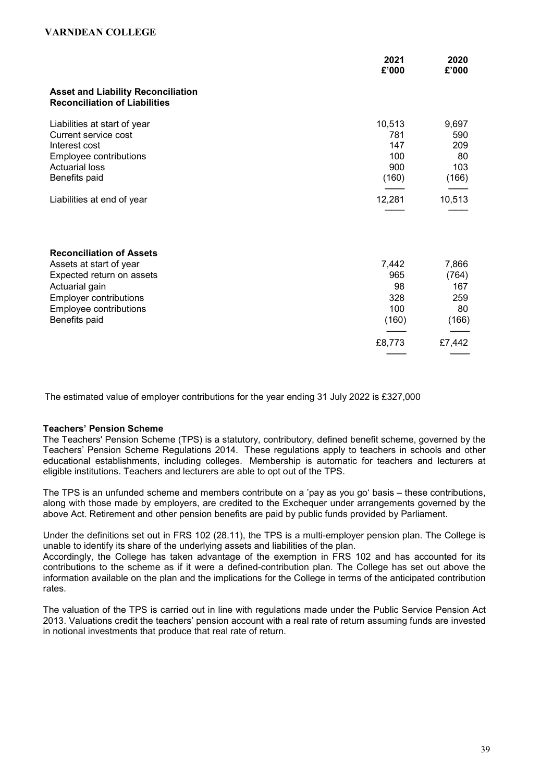|                                                                                                                                                                                       | 2021<br>£'000                                       | 2020<br>£'000                                         |
|---------------------------------------------------------------------------------------------------------------------------------------------------------------------------------------|-----------------------------------------------------|-------------------------------------------------------|
| <b>Asset and Liability Reconciliation</b><br><b>Reconciliation of Liabilities</b>                                                                                                     |                                                     |                                                       |
| Liabilities at start of year<br>Current service cost<br>Interest cost<br>Employee contributions<br><b>Actuarial loss</b><br>Benefits paid                                             | 10,513<br>781<br>147<br>100<br>900<br>(160)         | 9,697<br>590<br>209<br>80<br>103<br>(166)             |
| Liabilities at end of year                                                                                                                                                            | 12,281                                              | 10,513                                                |
| <b>Reconciliation of Assets</b><br>Assets at start of year<br>Expected return on assets<br>Actuarial gain<br><b>Employer contributions</b><br>Employee contributions<br>Benefits paid | 7,442<br>965<br>98<br>328<br>100<br>(160)<br>£8,773 | 7,866<br>(764)<br>167<br>259<br>80<br>(166)<br>£7,442 |

The estimated value of employer contributions for the year ending 31 July 2022 is £327,000

### Teachers' Pension Scheme

The Teachers' Pension Scheme (TPS) is a statutory, contributory, defined benefit scheme, governed by the Teachers' Pension Scheme Regulations 2014. These regulations apply to teachers in schools and other educational establishments, including colleges. Membership is automatic for teachers and lecturers at eligible institutions. Teachers and lecturers are able to opt out of the TPS.

The TPS is an unfunded scheme and members contribute on a 'pay as you go' basis – these contributions, along with those made by employers, are credited to the Exchequer under arrangements governed by the above Act. Retirement and other pension benefits are paid by public funds provided by Parliament.

Under the definitions set out in FRS 102 (28.11), the TPS is a multi-employer pension plan. The College is unable to identify its share of the underlying assets and liabilities of the plan.

Accordingly, the College has taken advantage of the exemption in FRS 102 and has accounted for its contributions to the scheme as if it were a defined-contribution plan. The College has set out above the information available on the plan and the implications for the College in terms of the anticipated contribution rates.

The valuation of the TPS is carried out in line with regulations made under the Public Service Pension Act 2013. Valuations credit the teachers' pension account with a real rate of return assuming funds are invested in notional investments that produce that real rate of return.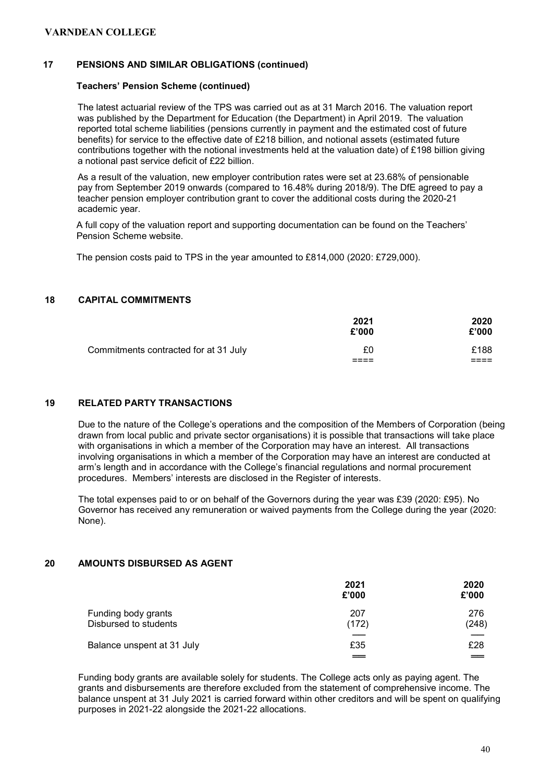### 17 PENSIONS AND SIMILAR OBLIGATIONS (continued)

### Teachers' Pension Scheme (continued)

The latest actuarial review of the TPS was carried out as at 31 March 2016. The valuation report was published by the Department for Education (the Department) in April 2019. The valuation reported total scheme liabilities (pensions currently in payment and the estimated cost of future benefits) for service to the effective date of £218 billion, and notional assets (estimated future contributions together with the notional investments held at the valuation date) of £198 billion giving a notional past service deficit of £22 billion.

As a result of the valuation, new employer contribution rates were set at 23.68% of pensionable pay from September 2019 onwards (compared to 16.48% during 2018/9). The DfE agreed to pay a teacher pension employer contribution grant to cover the additional costs during the 2020-21 academic year.

A full copy of the valuation report and supporting documentation can be found on the Teachers' Pension Scheme website.

The pension costs paid to TPS in the year amounted to £814,000 (2020: £729,000).

### 18 CAPITAL COMMITMENTS

|                                       | 2021<br>£'000 | 2020<br>£'000         |
|---------------------------------------|---------------|-----------------------|
| Commitments contracted for at 31 July | £0<br>____    | £188<br>-----<br>---- |

### 19 RELATED PARTY TRANSACTIONS

Due to the nature of the College's operations and the composition of the Members of Corporation (being drawn from local public and private sector organisations) it is possible that transactions will take place with organisations in which a member of the Corporation may have an interest. All transactions involving organisations in which a member of the Corporation may have an interest are conducted at arm's length and in accordance with the College's financial regulations and normal procurement procedures. Members' interests are disclosed in the Register of interests.

The total expenses paid to or on behalf of the Governors during the year was £39 (2020: £95). No Governor has received any remuneration or waived payments from the College during the year (2020: None).

### 20 AMOUNTS DISBURSED AS AGENT

|                            | 2021<br>£'000 | 2020<br>£'000 |
|----------------------------|---------------|---------------|
| Funding body grants        | 207           | 276           |
| Disbursed to students      | (172)         | (248)         |
|                            |               |               |
| Balance unspent at 31 July | £35           | £28           |
|                            | $=$           | ==            |

Funding body grants are available solely for students. The College acts only as paying agent. The grants and disbursements are therefore excluded from the statement of comprehensive income. The balance unspent at 31 July 2021 is carried forward within other creditors and will be spent on qualifying purposes in 2021-22 alongside the 2021-22 allocations.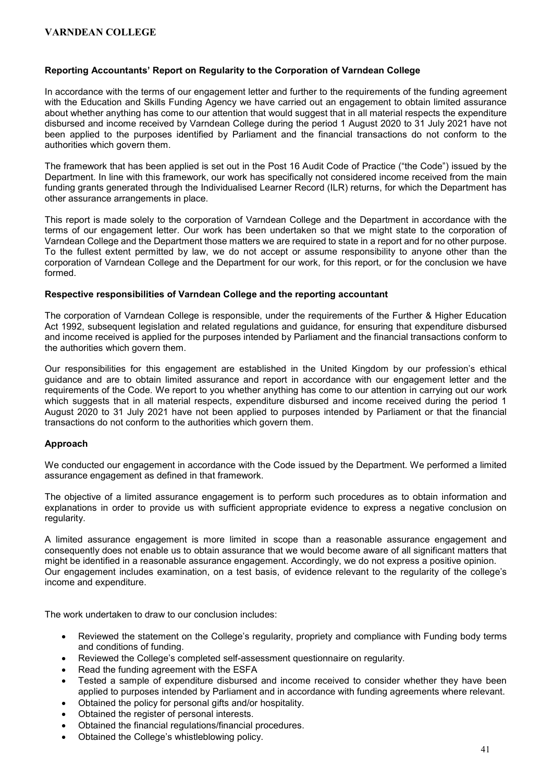#### Reporting Accountants' Report on Regularity to the Corporation of Varndean College

In accordance with the terms of our engagement letter and further to the requirements of the funding agreement with the Education and Skills Funding Agency we have carried out an engagement to obtain limited assurance about whether anything has come to our attention that would suggest that in all material respects the expenditure disbursed and income received by Varndean College during the period 1 August 2020 to 31 July 2021 have not been applied to the purposes identified by Parliament and the financial transactions do not conform to the authorities which govern them.

The framework that has been applied is set out in the Post 16 Audit Code of Practice ("the Code") issued by the Department. In line with this framework, our work has specifically not considered income received from the main funding grants generated through the Individualised Learner Record (ILR) returns, for which the Department has other assurance arrangements in place.

This report is made solely to the corporation of Varndean College and the Department in accordance with the terms of our engagement letter. Our work has been undertaken so that we might state to the corporation of Varndean College and the Department those matters we are required to state in a report and for no other purpose. To the fullest extent permitted by law, we do not accept or assume responsibility to anyone other than the corporation of Varndean College and the Department for our work, for this report, or for the conclusion we have formed.

#### Respective responsibilities of Varndean College and the reporting accountant

The corporation of Varndean College is responsible, under the requirements of the Further & Higher Education Act 1992, subsequent legislation and related regulations and guidance, for ensuring that expenditure disbursed and income received is applied for the purposes intended by Parliament and the financial transactions conform to the authorities which govern them.

Our responsibilities for this engagement are established in the United Kingdom by our profession's ethical guidance and are to obtain limited assurance and report in accordance with our engagement letter and the requirements of the Code. We report to you whether anything has come to our attention in carrying out our work which suggests that in all material respects, expenditure disbursed and income received during the period 1 August 2020 to 31 July 2021 have not been applied to purposes intended by Parliament or that the financial transactions do not conform to the authorities which govern them.

### Approach

We conducted our engagement in accordance with the Code issued by the Department. We performed a limited assurance engagement as defined in that framework.

The objective of a limited assurance engagement is to perform such procedures as to obtain information and explanations in order to provide us with sufficient appropriate evidence to express a negative conclusion on regularity.

A limited assurance engagement is more limited in scope than a reasonable assurance engagement and consequently does not enable us to obtain assurance that we would become aware of all significant matters that might be identified in a reasonable assurance engagement. Accordingly, we do not express a positive opinion. Our engagement includes examination, on a test basis, of evidence relevant to the regularity of the college's income and expenditure.

The work undertaken to draw to our conclusion includes:

- Reviewed the statement on the College's regularity, propriety and compliance with Funding body terms and conditions of funding.
- Reviewed the College's completed self-assessment questionnaire on regularity.
- Read the funding agreement with the ESFA
- Tested a sample of expenditure disbursed and income received to consider whether they have been applied to purposes intended by Parliament and in accordance with funding agreements where relevant.
- Obtained the policy for personal gifts and/or hospitality.
- Obtained the register of personal interests.
- Obtained the financial regulations/financial procedures.
- Obtained the College's whistleblowing policy.